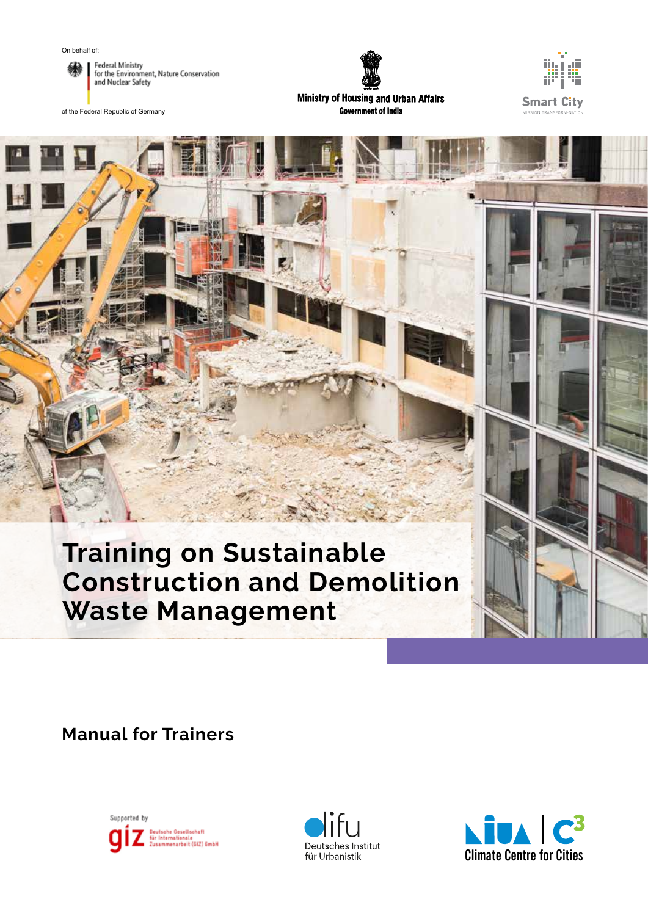



of the Federal Republic of Germany



**Ministry of Housing and Urban Affairs Government of India** 



## **Training on Sustainable Construction and Demolition Waste Management**

**Manual for Trainers**





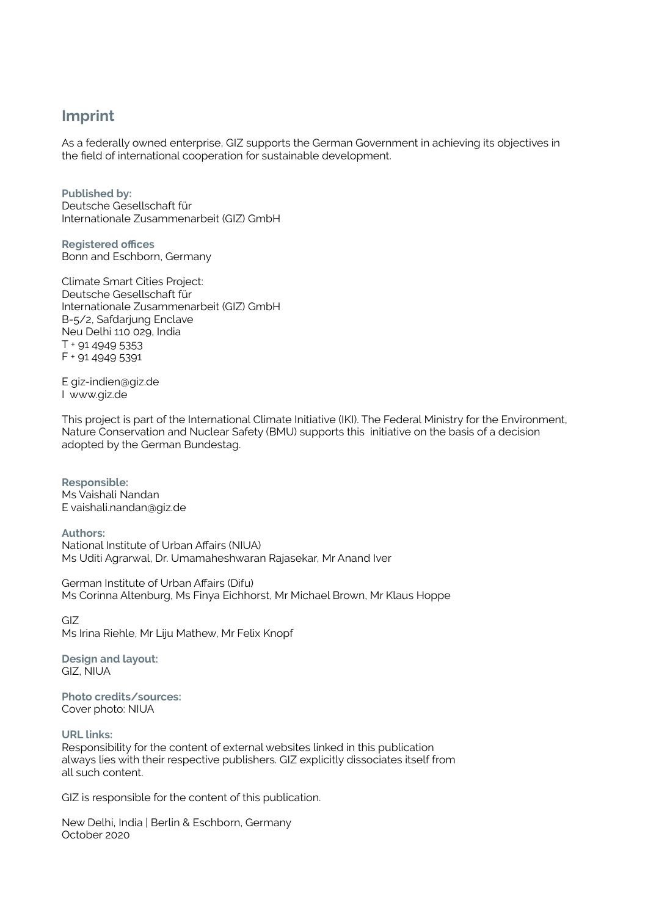## **Imprint**

As a federally owned enterprise, GIZ supports the German Government in achieving its objectives in the field of international cooperation for sustainable development.

**Published by:** Deutsche Gesellschaft für Internationale Zusammenarbeit (GIZ) GmbH

**Registered offices** Bonn and Eschborn, Germany

Climate Smart Cities Project: Deutsche Gesellschaft für Internationale Zusammenarbeit (GIZ) GmbH B-5/2, Safdarjung Enclave Neu Delhi 110 029, India T + 91 4949 5353 F + 91 4949 5391

E giz-indien@giz.de I www.giz.de

This project is part of the International Climate Initiative (IKI). The Federal Ministry for the Environment, Nature Conservation and Nuclear Safety (BMU) supports this initiative on the basis of a decision adopted by the German Bundestag.

**Responsible:** Ms Vaishali Nandan E vaishali.nandan@giz.de

**Authors:** National Institute of Urban Affairs (NIUA) Ms Uditi Agrarwal, Dr. Umamaheshwaran Rajasekar, Mr Anand Iver

German Institute of Urban Affairs (Difu) Ms Corinna Altenburg, Ms Finya Eichhorst, Mr Michael Brown, Mr Klaus Hoppe

GIZ Ms Irina Riehle, Mr Liju Mathew, Mr Felix Knopf

**Design and layout:** GIZ, NIUA

**Photo credits/sources:** Cover photo: NIUA

**URL links:** 

Responsibility for the content of external websites linked in this publication always lies with their respective publishers. GIZ explicitly dissociates itself from all such content.

GIZ is responsible for the content of this publication.

New Delhi, India | Berlin & Eschborn, Germany October 2020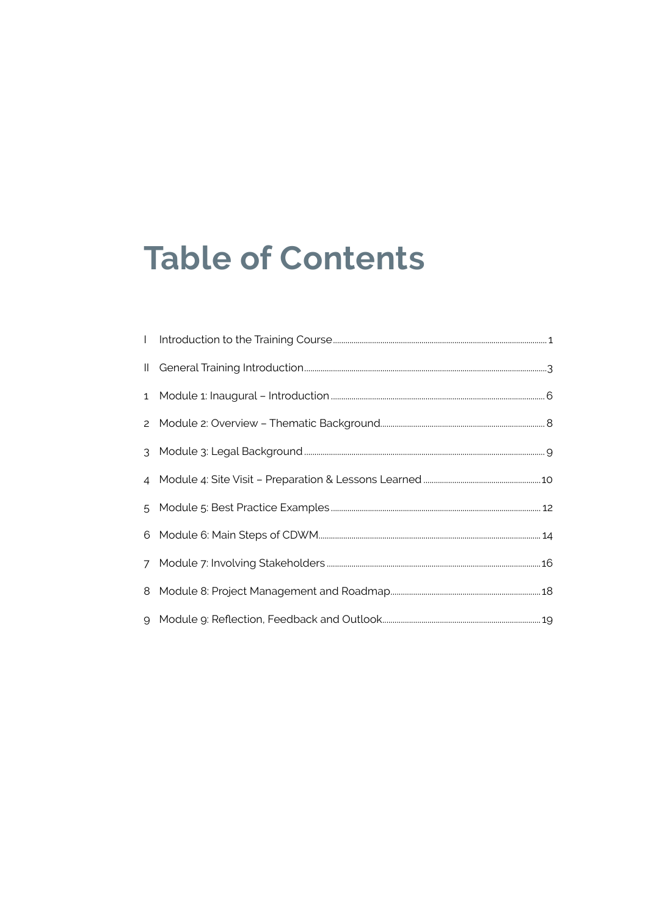# **Table of Contents**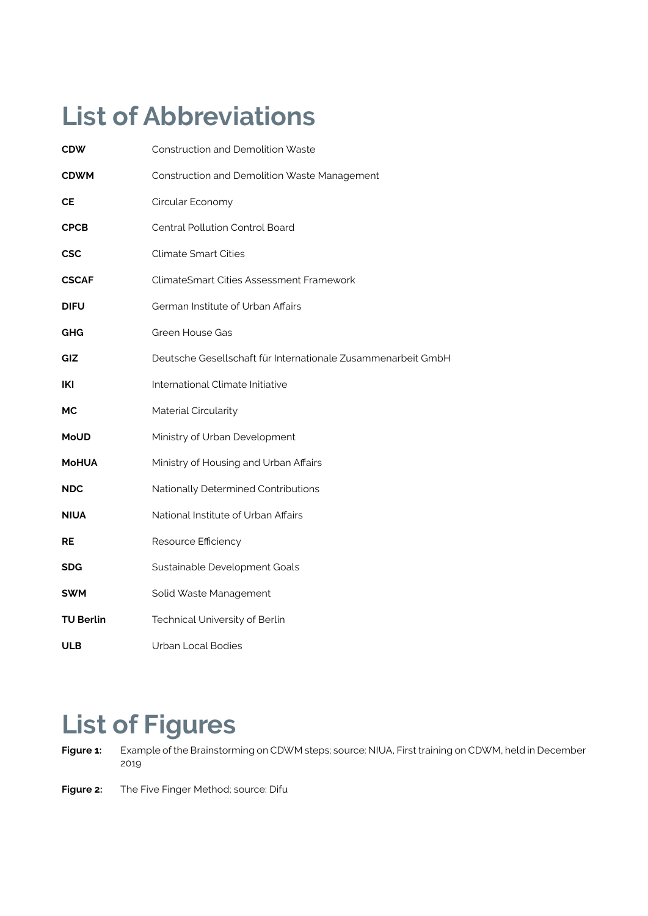# **List of Abbreviations**

| <b>CDW</b>       | <b>Construction and Demolition Waste</b>                     |  |
|------------------|--------------------------------------------------------------|--|
| <b>CDWM</b>      | Construction and Demolition Waste Management                 |  |
| <b>CE</b>        | Circular Economy                                             |  |
| <b>CPCB</b>      | Central Pollution Control Board                              |  |
| <b>CSC</b>       | <b>Climate Smart Cities</b>                                  |  |
| <b>CSCAF</b>     | <b>ClimateSmart Cities Assessment Framework</b>              |  |
| <b>DIFU</b>      | German Institute of Urban Affairs                            |  |
| GHG              | Green House Gas                                              |  |
| GIZ              | Deutsche Gesellschaft für Internationale Zusammenarbeit GmbH |  |
| IKI              | International Climate Initiative                             |  |
| МC               | Material Circularity                                         |  |
| <b>MoUD</b>      | Ministry of Urban Development                                |  |
| <b>MoHUA</b>     | Ministry of Housing and Urban Affairs                        |  |
| <b>NDC</b>       | Nationally Determined Contributions                          |  |
| <b>NIUA</b>      | National Institute of Urban Affairs                          |  |
| <b>RE</b>        | Resource Efficiency                                          |  |
| <b>SDG</b>       | Sustainable Development Goals                                |  |
| <b>SWM</b>       | Solid Waste Management                                       |  |
| <b>TU Berlin</b> | Technical University of Berlin                               |  |
| ULB              | <b>Urban Local Bodies</b>                                    |  |

## **List of Figures**

- **Figure 1:** Example of the Brainstorming on CDWM steps; source: NIUA, First training on CDWM, held in December 2019
- **Figure 2:** The Five Finger Method; source: Difu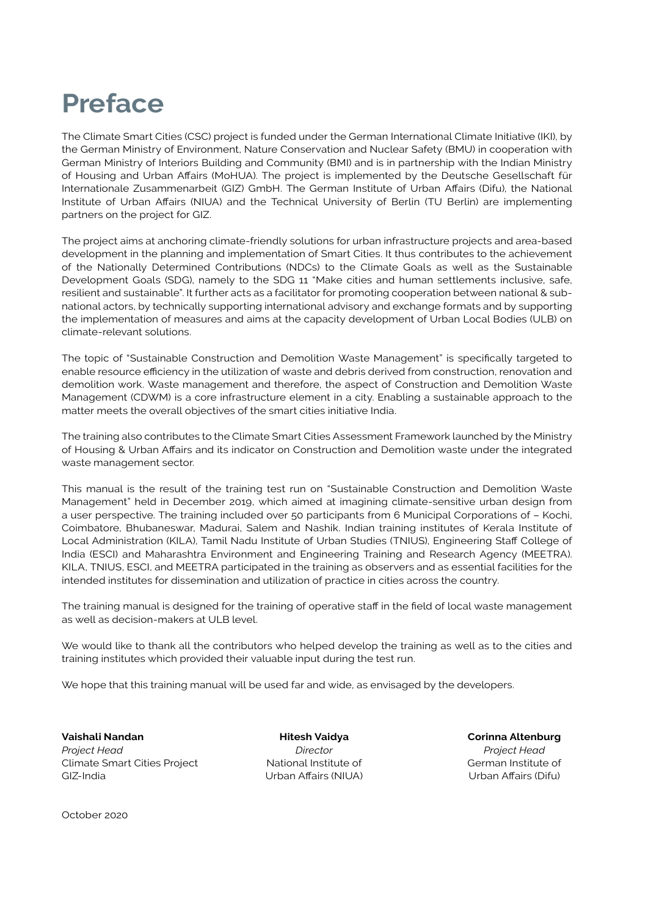## **Preface**

The Climate Smart Cities (CSC) project is funded under the German International Climate Initiative (IKI), by the German Ministry of Environment, Nature Conservation and Nuclear Safety (BMU) in cooperation with German Ministry of Interiors Building and Community (BMI) and is in partnership with the Indian Ministry of Housing and Urban Affairs (MoHUA). The project is implemented by the Deutsche Gesellschaft für Internationale Zusammenarbeit (GIZ) GmbH. The German Institute of Urban Affairs (Difu), the National Institute of Urban Affairs (NIUA) and the Technical University of Berlin (TU Berlin) are implementing partners on the project for GIZ.

The project aims at anchoring climate-friendly solutions for urban infrastructure projects and area-based development in the planning and implementation of Smart Cities. It thus contributes to the achievement of the Nationally Determined Contributions (NDCs) to the Climate Goals as well as the Sustainable Development Goals (SDG), namely to the SDG 11 "Make cities and human settlements inclusive, safe, resilient and sustainable". It further acts as a facilitator for promoting cooperation between national & subnational actors, by technically supporting international advisory and exchange formats and by supporting the implementation of measures and aims at the capacity development of Urban Local Bodies (ULB) on climate-relevant solutions.

The topic of "Sustainable Construction and Demolition Waste Management" is specifically targeted to enable resource efficiency in the utilization of waste and debris derived from construction, renovation and demolition work. Waste management and therefore, the aspect of Construction and Demolition Waste Management (CDWM) is a core infrastructure element in a city. Enabling a sustainable approach to the matter meets the overall objectives of the smart cities initiative India.

The training also contributes to the Climate Smart Cities Assessment Framework launched by the Ministry of Housing & Urban Affairs and its indicator on Construction and Demolition waste under the integrated waste management sector.

This manual is the result of the training test run on "Sustainable Construction and Demolition Waste Management" held in December 2019, which aimed at imagining climate-sensitive urban design from a user perspective. The training included over 50 participants from 6 Municipal Corporations of – Kochi, Coimbatore, Bhubaneswar, Madurai, Salem and Nashik. Indian training institutes of Kerala Institute of Local Administration (KILA), Tamil Nadu Institute of Urban Studies (TNIUS), Engineering Staff College of India (ESCI) and Maharashtra Environment and Engineering Training and Research Agency (MEETRA). KILA, TNIUS, ESCI, and MEETRA participated in the training as observers and as essential facilities for the intended institutes for dissemination and utilization of practice in cities across the country.

The training manual is designed for the training of operative staff in the field of local waste management as well as decision-makers at ULB level.

We would like to thank all the contributors who helped develop the training as well as to the cities and training institutes which provided their valuable input during the test run.

We hope that this training manual will be used far and wide, as envisaged by the developers.

**Vaishali Nandan Hitesh Vaidya Corinna Altenburg** *Project Head Director Project Head* Climate Smart Cities Project National Institute of German Institute of GIZ-India Urban Affairs (NIUA) Urban Affairs (Difu)

October 2020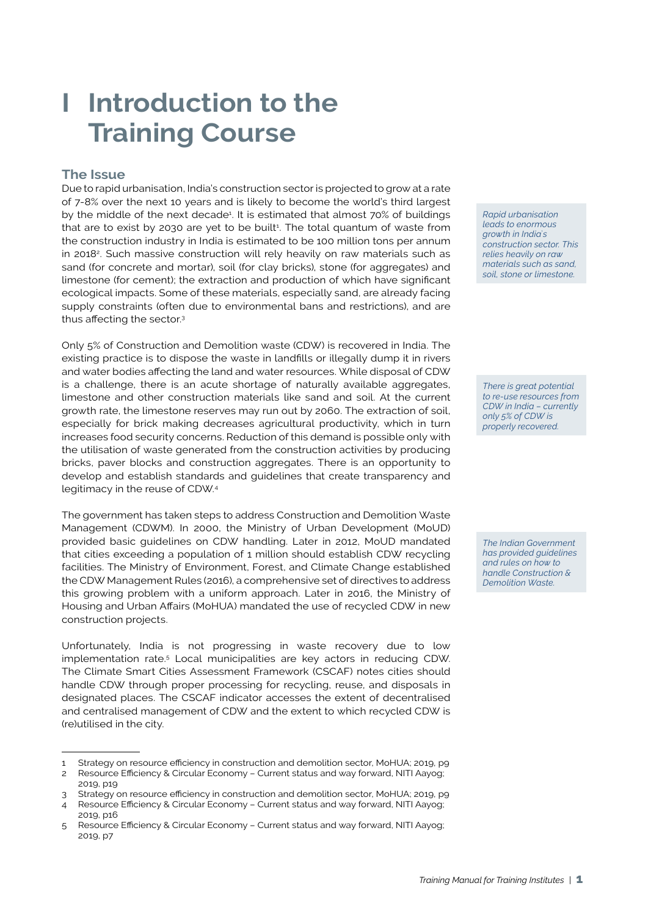## **I Introduction to the Training Course**

### **The Issue**

Due to rapid urbanisation, India's construction sector is projected to grow at a rate of 7-8% over the next 10 years and is likely to become the world's third largest by the middle of the next decade<sup>3</sup>. It is estimated that almost 70% of buildings that are to exist by 2030 are yet to be built $1$ . The total quantum of waste from the construction industry in India is estimated to be 100 million tons per annum in 2018<sup>2</sup>. Such massive construction will rely heavily on raw materials such as sand (for concrete and mortar), soil (for clay bricks), stone (for aggregates) and limestone (for cement); the extraction and production of which have significant ecological impacts. Some of these materials, especially sand, are already facing supply constraints (often due to environmental bans and restrictions), and are thus affecting the sector.<sup>3</sup>

Only 5% of Construction and Demolition waste (CDW) is recovered in India. The existing practice is to dispose the waste in landfills or illegally dump it in rivers and water bodies affecting the land and water resources. While disposal of CDW is a challenge, there is an acute shortage of naturally available aggregates, limestone and other construction materials like sand and soil. At the current growth rate, the limestone reserves may run out by 2060. The extraction of soil, especially for brick making decreases agricultural productivity, which in turn increases food security concerns. Reduction of this demand is possible only with the utilisation of waste generated from the construction activities by producing bricks, paver blocks and construction aggregates. There is an opportunity to develop and establish standards and guidelines that create transparency and legitimacy in the reuse of CDW.<sup>4</sup>

The government has taken steps to address Construction and Demolition Waste Management (CDWM). In 2000, the Ministry of Urban Development (MoUD) provided basic guidelines on CDW handling. Later in 2012, MoUD mandated that cities exceeding a population of 1 million should establish CDW recycling facilities. The Ministry of Environment, Forest, and Climate Change established the CDW Management Rules (2016), a comprehensive set of directives to address this growing problem with a uniform approach. Later in 2016, the Ministry of Housing and Urban Affairs (MoHUA) mandated the use of recycled CDW in new construction projects.

Unfortunately, India is not progressing in waste recovery due to low implementation rate.<sup>5</sup> Local municipalities are key actors in reducing CDW. The Climate Smart Cities Assessment Framework (CSCAF) notes cities should handle CDW through proper processing for recycling, reuse, and disposals in designated places. The CSCAF indicator accesses the extent of decentralised and centralised management of CDW and the extent to which recycled CDW is (re)utilised in the city.

*Rapid urbanisation leads to enormous growth in India`s construction sector. This relies heavily on raw materials such as sand, soil, stone or limestone.* 

*There is great potential to re-use resources from CDW in India – currently only 5% of CDW is properly recovered.*

*The Indian Government has provided guidelines and rules on how to handle Construction & Demolition Waste.*

<sup>1</sup> Strategy on resource efficiency in construction and demolition sector, MoHUA; 2019, p9

<sup>2</sup> Resource Efficiency & Circular Economy – Current status and way forward, NITI Aayog; 2019, p19

<sup>3</sup> Strategy on resource efficiency in construction and demolition sector, MoHUA; 2019, p9

<sup>4</sup> Resource Efficiency & Circular Economy – Current status and way forward, NITI Aayog; 2019, p16

<sup>5</sup> Resource Efficiency & Circular Economy – Current status and way forward, NITI Aayog; 2019, p7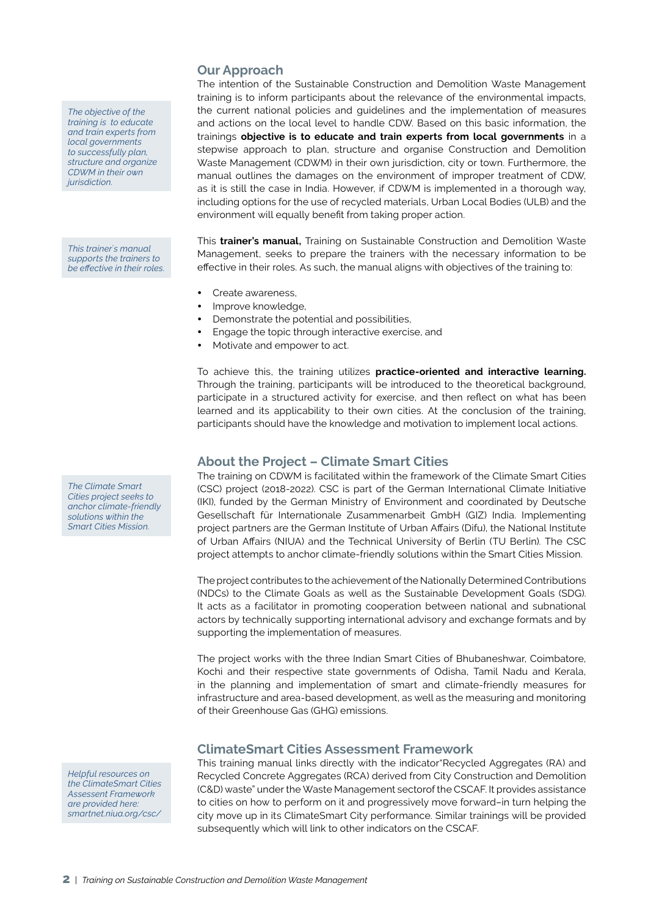*The objective of the training is to educate and train experts from local governments to successfully plan, structure and organize CDWM in their own jurisdiction.*

*This trainer`s manual supports the trainers to be effective in their roles.*

*The Climate Smart Cities project seeks to anchor climate-friendly solutions within the Smart Cities Mission.*

*Helpful resources on the ClimateSmart Cities Assessent Framework are provided here: smartnet.niua.org/csc/*

### **Our Approach**

The intention of the Sustainable Construction and Demolition Waste Management training is to inform participants about the relevance of the environmental impacts, the current national policies and guidelines and the implementation of measures and actions on the local level to handle CDW. Based on this basic information, the trainings **objective is to educate and train experts from local governments** in a stepwise approach to plan, structure and organise Construction and Demolition Waste Management (CDWM) in their own jurisdiction, city or town. Furthermore, the manual outlines the damages on the environment of improper treatment of CDW, as it is still the case in India. However, if CDWM is implemented in a thorough way, including options for the use of recycled materials, Urban Local Bodies (ULB) and the environment will equally benefit from taking proper action.

This **trainer's manual,** Training on Sustainable Construction and Demolition Waste Management, seeks to prepare the trainers with the necessary information to be effective in their roles. As such, the manual aligns with objectives of the training to:

- Create awareness.
- Improve knowledge,
- Demonstrate the potential and possibilities,
- Engage the topic through interactive exercise, and
- Motivate and empower to act.

To achieve this, the training utilizes **practice-oriented and interactive learning.** Through the training, participants will be introduced to the theoretical background, participate in a structured activity for exercise, and then reflect on what has been learned and its applicability to their own cities. At the conclusion of the training, participants should have the knowledge and motivation to implement local actions.

### **About the Project – Climate Smart Cities**

The training on CDWM is facilitated within the framework of the Climate Smart Cities (CSC) project (2018-2022). CSC is part of the German International Climate Initiative (IKI), funded by the German Ministry of Environment and coordinated by Deutsche Gesellschaft für Internationale Zusammenarbeit GmbH (GIZ) India. Implementing project partners are the German Institute of Urban Affairs (Difu), the National Institute of Urban Affairs (NIUA) and the Technical University of Berlin (TU Berlin). The CSC project attempts to anchor climate-friendly solutions within the Smart Cities Mission.

The project contributes to the achievement of the Nationally Determined Contributions (NDCs) to the Climate Goals as well as the Sustainable Development Goals (SDG). It acts as a facilitator in promoting cooperation between national and subnational actors by technically supporting international advisory and exchange formats and by supporting the implementation of measures.

The project works with the three Indian Smart Cities of Bhubaneshwar, Coimbatore, Kochi and their respective state governments of Odisha, Tamil Nadu and Kerala, in the planning and implementation of smart and climate-friendly measures for infrastructure and area-based development, as well as the measuring and monitoring of their Greenhouse Gas (GHG) emissions.

### **ClimateSmart Cities Assessment Framework**

This training manual links directly with the indicator"Recycled Aggregates (RA) and Recycled Concrete Aggregates (RCA) derived from City Construction and Demolition (C&D) waste" under the Waste Management sectorof the CSCAF. It provides assistance to cities on how to perform on it and progressively move forward–in turn helping the city move up in its ClimateSmart City performance. Similar trainings will be provided subsequently which will link to other indicators on the CSCAF.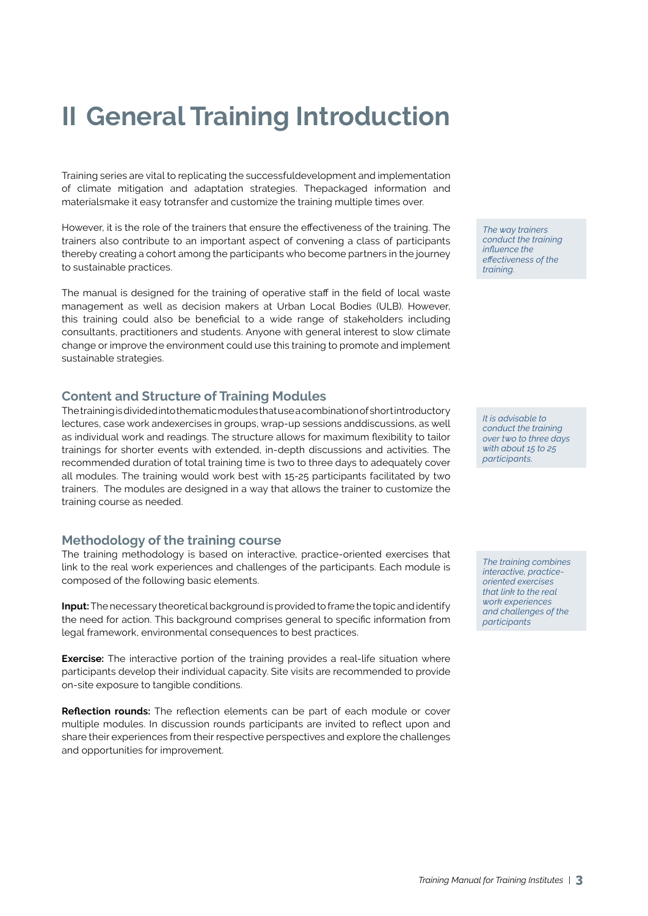## **II General Training Introduction**

Training series are vital to replicating the successfuldevelopment and implementation of climate mitigation and adaptation strategies. Thepackaged information and materialsmake it easy totransfer and customize the training multiple times over.

However, it is the role of the trainers that ensure the effectiveness of the training. The trainers also contribute to an important aspect of convening a class of participants thereby creating a cohort among the participants who become partners in the journey to sustainable practices.

The manual is designed for the training of operative staff in the field of local waste management as well as decision makers at Urban Local Bodies (ULB). However, this training could also be beneficial to a wide range of stakeholders including consultants, practitioners and students. Anyone with general interest to slow climate change or improve the environment could use this training to promote and implement sustainable strategies.

### **Content and Structure of Training Modules**

The training is divided into thematic modules that use a combination of short introductory lectures, case work andexercises in groups, wrap-up sessions anddiscussions, as well as individual work and readings. The structure allows for maximum flexibility to tailor trainings for shorter events with extended, in-depth discussions and activities. The recommended duration of total training time is two to three days to adequately cover all modules. The training would work best with 15-25 participants facilitated by two trainers. The modules are designed in a way that allows the trainer to customize the training course as needed.

### **Methodology of the training course**

The training methodology is based on interactive, practice-oriented exercises that link to the real work experiences and challenges of the participants. Each module is composed of the following basic elements.

**Input:** The necessary theoretical background is provided to frame the topic and identify the need for action. This background comprises general to specific information from legal framework, environmental consequences to best practices.

**Exercise:** The interactive portion of the training provides a real-life situation where participants develop their individual capacity. Site visits are recommended to provide on-site exposure to tangible conditions.

**Reflection rounds:** The reflection elements can be part of each module or cover multiple modules. In discussion rounds participants are invited to reflect upon and share their experiences from their respective perspectives and explore the challenges and opportunities for improvement.

*The way trainers conduct the training influence the effectiveness of the training.*

*It is advisable to conduct the training over two to three days with about 15 to 25 participants.*

*The training combines interactive, practiceoriented exercises that link to the real work experiences and challenges of the participants*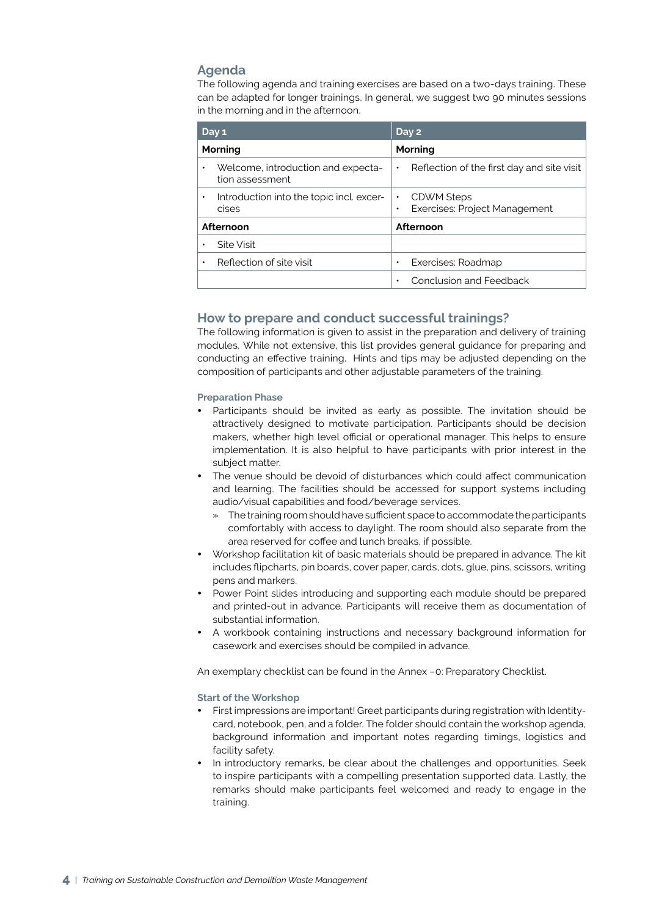### **Agenda**

The following agenda and training exercises are based on a two-days training. These can be adapted for longer trainings. In general, we suggest two 90 minutes sessions in the morning and in the afternoon.

| Day 1                                                  | Day 2                                                                 |  |
|--------------------------------------------------------|-----------------------------------------------------------------------|--|
| Morning                                                | Morning                                                               |  |
| Welcome, introduction and expecta-<br>tion assessment  | Reflection of the first day and site visit<br>$\bullet$               |  |
| Introduction into the topic incl. excer-<br>٠<br>cises | CDWM Steps<br>$\bullet$<br>Exercises: Project Management<br>$\bullet$ |  |
| Afternoon                                              | Afternoon                                                             |  |
| Site Visit<br>٠                                        |                                                                       |  |
| Reflection of site visit<br>٠                          | Exercises: Roadmap<br>٠                                               |  |
|                                                        | Conclusion and Feedback<br>٠                                          |  |

### **How to prepare and conduct successful trainings?**

The following information is given to assist in the preparation and delivery of training modules. While not extensive, this list provides general guidance for preparing and conducting an effective training. Hints and tips may be adjusted depending on the composition of participants and other adjustable parameters of the training.

### **Preparation Phase**

- Participants should be invited as early as possible. The invitation should be attractively designed to motivate participation. Participants should be decision makers, whether high level official or operational manager. This helps to ensure implementation. It is also helpful to have participants with prior interest in the subject matter.
- The venue should be devoid of disturbances which could affect communication and learning. The facilities should be accessed for support systems including audio/visual capabilities and food/beverage services.
	- » The training room should have sufficient space to accommodate the participants comfortably with access to daylight. The room should also separate from the area reserved for coffee and lunch breaks, if possible.
- y Workshop facilitation kit of basic materials should be prepared in advance. The kit includes flipcharts, pin boards, cover paper, cards, dots, glue, pins, scissors, writing pens and markers.
- Power Point slides introducing and supporting each module should be prepared and printed-out in advance. Participants will receive them as documentation of substantial information.
- A workbook containing instructions and necessary background information for casework and exercises should be compiled in advance.

An exemplary checklist can be found in the Annex –0: Preparatory Checklist.

### **Start of the Workshop**

- First impressions are important! Greet participants during registration with Identitycard, notebook, pen, and a folder. The folder should contain the workshop agenda, background information and important notes regarding timings, logistics and facility safety.
- In introductory remarks, be clear about the challenges and opportunities. Seek to inspire participants with a compelling presentation supported data. Lastly, the remarks should make participants feel welcomed and ready to engage in the training.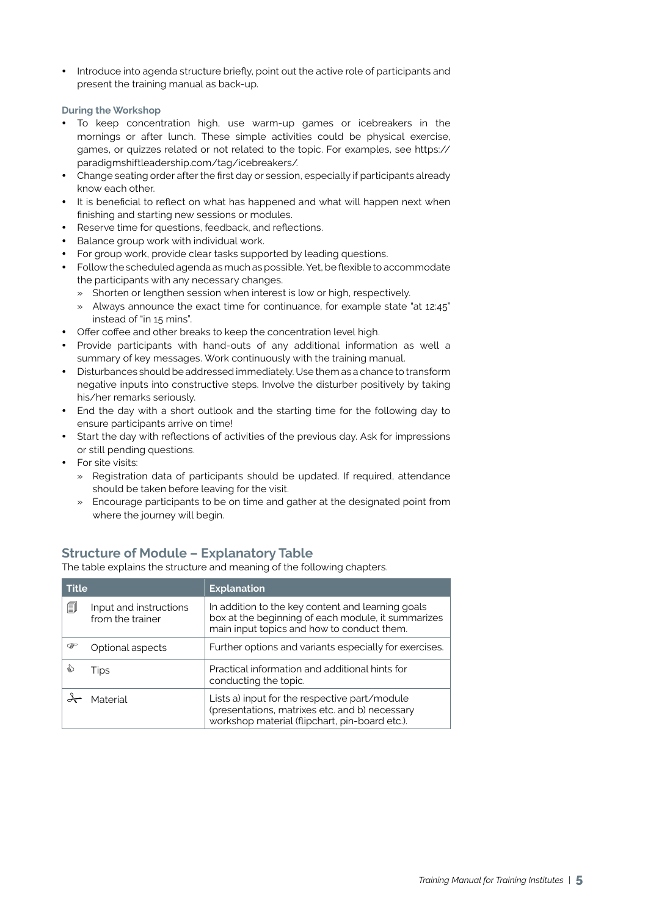Introduce into agenda structure briefly, point out the active role of participants and present the training manual as back-up.

### **During the Workshop**

- To keep concentration high, use warm-up games or icebreakers in the mornings or after lunch. These simple activities could be physical exercise, games, or quizzes related or not related to the topic. For examples, see https:// paradigmshiftleadership.com/tag/icebreakers/.
- Change seating order after the first day or session, especially if participants already know each other.
- It is beneficial to reflect on what has happened and what will happen next when finishing and starting new sessions or modules.
- Reserve time for questions, feedback, and reflections.
- Balance group work with individual work.
- For group work, provide clear tasks supported by leading questions.
- Follow the scheduled agenda as much as possible. Yet, be flexible to accommodate the participants with any necessary changes.
	- » Shorten or lengthen session when interest is low or high, respectively.
	- » Always announce the exact time for continuance, for example state "at 12:45" instead of "in 15 mins".
- Offer coffee and other breaks to keep the concentration level high.
- Provide participants with hand-outs of any additional information as well a summary of key messages. Work continuously with the training manual.
- y Disturbances should be addressed immediately. Use them as a chance to transform negative inputs into constructive steps. Involve the disturber positively by taking his/her remarks seriously.
- End the day with a short outlook and the starting time for the following day to ensure participants arrive on time!
- Start the day with reflections of activities of the previous day. Ask for impressions or still pending questions.
- For site visits:
	- » Registration data of participants should be updated. If required, attendance should be taken before leaving for the visit.
	- » Encourage participants to be on time and gather at the designated point from where the journey will begin.

## **Structure of Module – Explanatory Table**

The table explains the structure and meaning of the following chapters.

| <b>Title</b> |                                            | <b>Explanation</b>                                                                                                                                    |
|--------------|--------------------------------------------|-------------------------------------------------------------------------------------------------------------------------------------------------------|
| 匐            | Input and instructions<br>from the trainer | In addition to the key content and learning goals<br>box at the beginning of each module, it summarizes<br>main input topics and how to conduct them. |
| œ            | Optional aspects                           | Further options and variants especially for exercises.                                                                                                |
| ঌ            | Tips                                       | Practical information and additional hints for<br>conducting the topic.                                                                               |
|              | Material                                   | Lists a) input for the respective part/module<br>(presentations, matrixes etc. and b) necessary<br>workshop material (flipchart, pin-board etc.).     |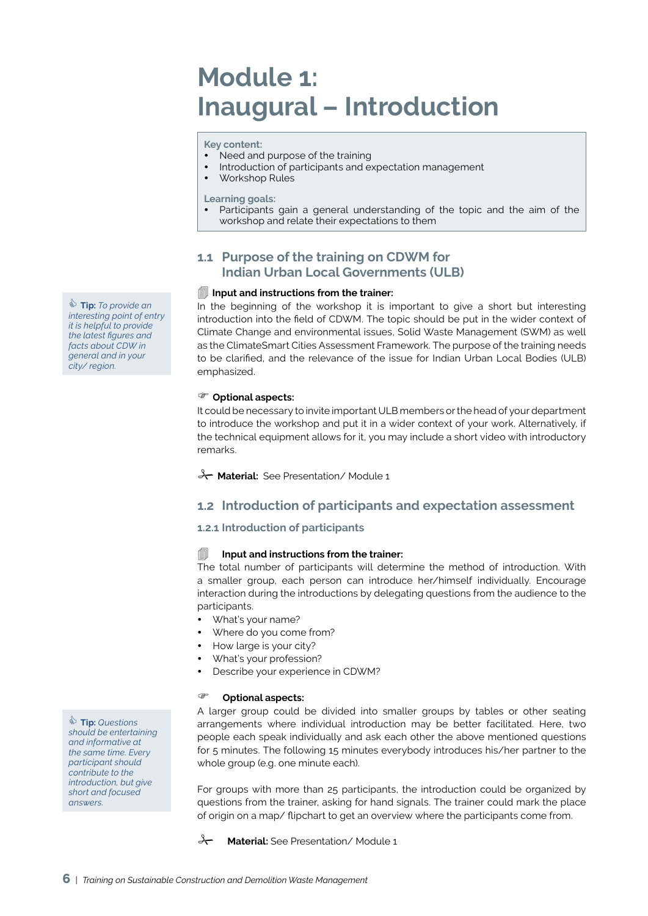## **Module 1: Inaugural – Introduction**

**Key content:** 

- Need and purpose of the training
- Introduction of participants and expectation management
- Workshop Rules

**Learning goals:** 

Participants gain a general understanding of the topic and the aim of the workshop and relate their expectations to them

### **1.1 Purpose of the training on CDWM for Indian Urban Local Governments (ULB)**

### **Input and instructions from the trainer:**

In the beginning of the workshop it is important to give a short but interesting introduction into the field of CDWM. The topic should be put in the wider context of Climate Change and environmental issues, Solid Waste Management (SWM) as well as the ClimateSmart Cities Assessment Framework. The purpose of the training needs to be clarified, and the relevance of the issue for Indian Urban Local Bodies (ULB) emphasized.

### **Optional aspects:**

It could be necessary to invite important ULB members or the head of your department to introduce the workshop and put it in a wider context of your work. Alternatively, if the technical equipment allows for it, you may include a short video with introductory remarks.

**A Material:** See Presentation/Module 1

### **1.2 Introduction of participants and expectation assessment**

### **1.2.1 Introduction of participants**

### **Input and instructions from the trainer:**

The total number of participants will determine the method of introduction. With a smaller group, each person can introduce her/himself individually. Encourage interaction during the introductions by delegating questions from the audience to the participants.

- What's your name?
- Where do you come from?
- How large is your city?
- What's your profession?
- Describe your experience in CDWM?

### **Optional aspects:**

A larger group could be divided into smaller groups by tables or other seating arrangements where individual introduction may be better facilitated. Here, two people each speak individually and ask each other the above mentioned questions for 5 minutes. The following 15 minutes everybody introduces his/her partner to the whole group (e.g. one minute each).

For groups with more than 25 participants, the introduction could be organized by questions from the trainer, asking for hand signals. The trainer could mark the place of origin on a map/ flipchart to get an overview where the participants come from.

**A** Material: See Presentation/Module 1

 **Tip:** *To provide an interesting point of entry it is helpful to provide the latest figures and facts about CDW in general and in your city/ region.*

 **Tip:** *Questions should be entertaining and informative at the same time. Every participant should contribute to the introduction, but give short and focused answers.*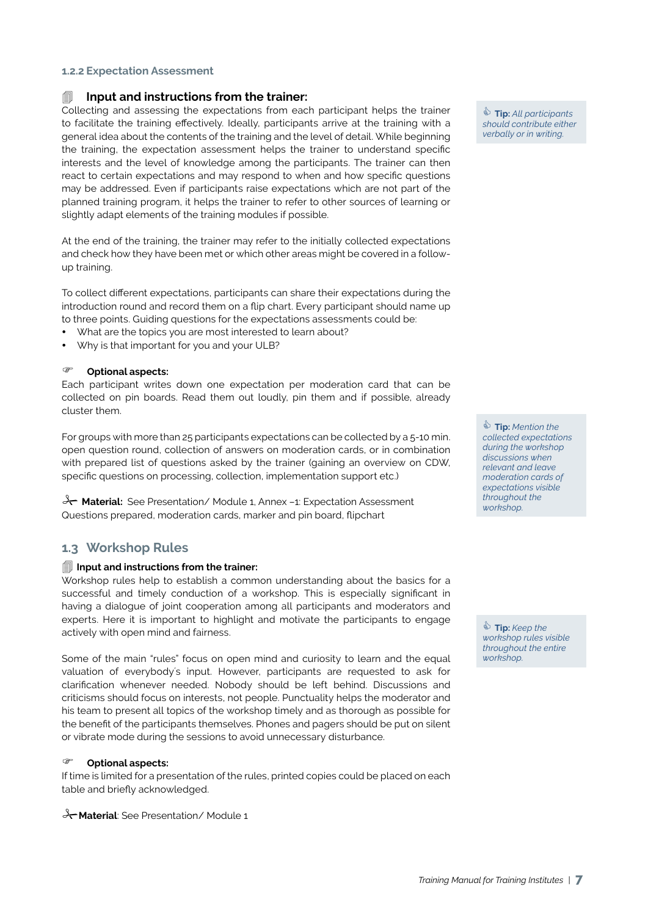### **1.2.2 Expectation Assessment**

### **Input and instructions from the trainer:**

Collecting and assessing the expectations from each participant helps the trainer to facilitate the training effectively. Ideally, participants arrive at the training with a general idea about the contents of the training and the level of detail. While beginning the training, the expectation assessment helps the trainer to understand specific interests and the level of knowledge among the participants. The trainer can then react to certain expectations and may respond to when and how specific questions may be addressed. Even if participants raise expectations which are not part of the planned training program, it helps the trainer to refer to other sources of learning or slightly adapt elements of the training modules if possible.

At the end of the training, the trainer may refer to the initially collected expectations and check how they have been met or which other areas might be covered in a followup training.

To collect different expectations, participants can share their expectations during the introduction round and record them on a flip chart. Every participant should name up to three points. Guiding questions for the expectations assessments could be:

- What are the topics you are most interested to learn about?
- Why is that important for you and your ULB?

#### **Optional aspects:**

Each participant writes down one expectation per moderation card that can be collected on pin boards. Read them out loudly, pin them and if possible, already cluster them.

For groups with more than 25 participants expectations can be collected by a 5-10 min. open question round, collection of answers on moderation cards, or in combination with prepared list of questions asked by the trainer (gaining an overview on CDW, specific questions on processing, collection, implementation support etc.)

**X** Material: See Presentation/ Module 1, Annex -1: Expectation Assessment Questions prepared, moderation cards, marker and pin board, flipchart

### **1.3 Workshop Rules**

#### **Input and instructions from the trainer:**

Workshop rules help to establish a common understanding about the basics for a successful and timely conduction of a workshop. This is especially significant in having a dialogue of joint cooperation among all participants and moderators and experts. Here it is important to highlight and motivate the participants to engage actively with open mind and fairness.

Some of the main "rules" focus on open mind and curiosity to learn and the equal valuation of everybody´s input. However, participants are requested to ask for clarification whenever needed. Nobody should be left behind. Discussions and criticisms should focus on interests, not people. Punctuality helps the moderator and his team to present all topics of the workshop timely and as thorough as possible for the benefit of the participants themselves. Phones and pagers should be put on silent or vibrate mode during the sessions to avoid unnecessary disturbance.

#### **Optional aspects:**

If time is limited for a presentation of the rules, printed copies could be placed on each table and briefly acknowledged.

**X-Material**: See Presentation/Module 1

 **Tip:** *All participants should contribute either verbally or in writing.*

 **Tip:** *Mention the collected expectations during the workshop discussions when relevant and leave moderation cards of expectations visible throughout the workshop.*

 **Tip:** *Keep the workshop rules visible throughout the entire workshop.*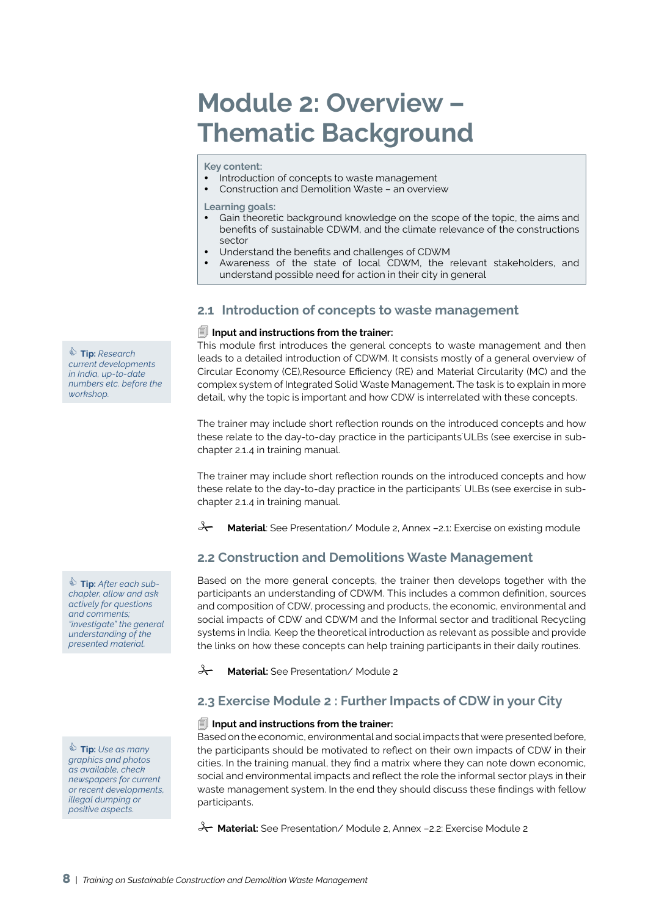## **Module 2: Overview – Thematic Background**

**Key content:** 

- Introduction of concepts to waste management
- Construction and Demolition Waste an overview
- **Learning goals:**
- Gain theoretic background knowledge on the scope of the topic, the aims and benefits of sustainable CDWM, and the climate relevance of the constructions sector
- Understand the benefits and challenges of CDWM
- Awareness of the state of local CDWM, the relevant stakeholders, and understand possible need for action in their city in general

### **2.1 Introduction of concepts to waste management**

### **Input and instructions from the trainer:**

This module first introduces the general concepts to waste management and then leads to a detailed introduction of CDWM. It consists mostly of a general overview of Circular Economy (CE),Resource Efficiency (RE) and Material Circularity (MC) and the complex system of Integrated Solid Waste Management. The task is to explain in more detail, why the topic is important and how CDW is interrelated with these concepts.

The trainer may include short reflection rounds on the introduced concepts and how these relate to the day-to-day practice in the participants`ULBs (see exercise in subchapter 2.1.4 in training manual.

The trainer may include short reflection rounds on the introduced concepts and how these relate to the day-to-day practice in the participants` ULBs (see exercise in subchapter 2.1.4 in training manual.

**Material**: See Presentation/ Module 2, Annex –2.1: Exercise on existing module

## **2.2 Construction and Demolitions Waste Management**

Based on the more general concepts, the trainer then develops together with the participants an understanding of CDWM. This includes a common definition, sources and composition of CDW, processing and products, the economic, environmental and social impacts of CDW and CDWM and the Informal sector and traditional Recycling systems in India. Keep the theoretical introduction as relevant as possible and provide the links on how these concepts can help training participants in their daily routines.

**A** Material: See Presentation/Module 2

## **2.3 Exercise Module 2 : Further Impacts of CDW in your City**

### **Input and instructions from the trainer:**

Based on the economic, environmental and social impacts that were presented before, the participants should be motivated to reflect on their own impacts of CDW in their cities. In the training manual, they find a matrix where they can note down economic, social and environmental impacts and reflect the role the informal sector plays in their waste management system. In the end they should discuss these findings with fellow participants.

**Material:** See Presentation/ Module 2, Annex –2.2: Exercise Module 2

 **Tip:** *Research current developments in India, up-to-date numbers etc. before the workshop.*

 **Tip:** *After each subchapter, allow and ask actively for questions and comments; "investigate" the general understanding of the presented material.*

 **Tip:** *Use as many graphics and photos as available, check newspapers for current or recent developments, illegal dumping or positive aspects.*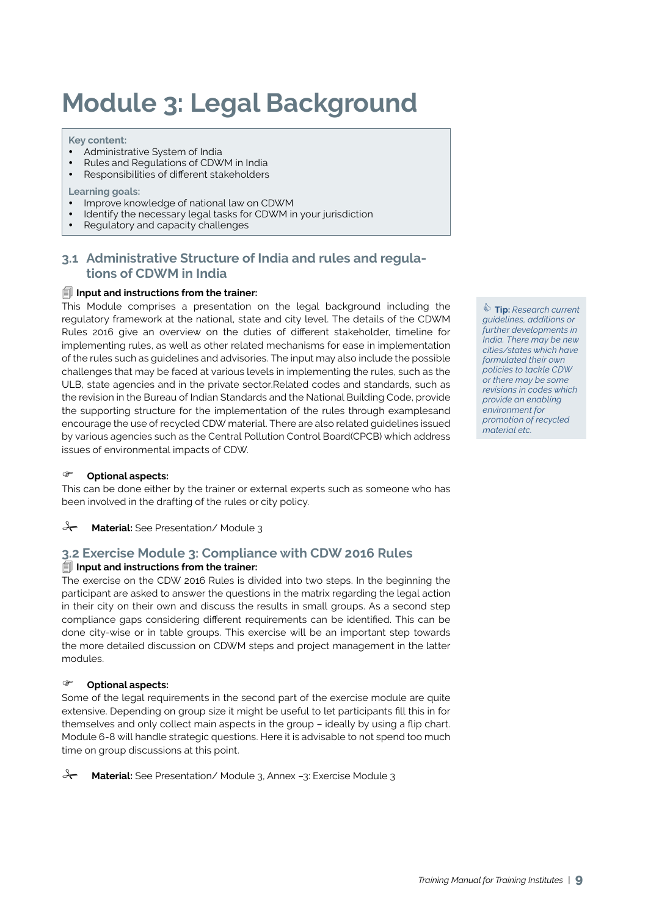# **Module 3: Legal Background**

#### **Key content:**

- Administrative System of India
- Rules and Regulations of CDWM in India
- Responsibilities of different stakeholders

#### **Learning goals:**

- Improve knowledge of national law on CDWM
- Identify the necessary legal tasks for CDWM in your jurisdiction
- Regulatory and capacity challenges

### **3.1 Administrative Structure of India and rules and regulations of CDWM in India**

### **Input and instructions from the trainer:**

This Module comprises a presentation on the legal background including the regulatory framework at the national, state and city level. The details of the CDWM Rules 2016 give an overview on the duties of different stakeholder, timeline for implementing rules, as well as other related mechanisms for ease in implementation of the rules such as guidelines and advisories. The input may also include the possible challenges that may be faced at various levels in implementing the rules, such as the ULB, state agencies and in the private sector.Related codes and standards, such as the revision in the Bureau of Indian Standards and the National Building Code, provide the supporting structure for the implementation of the rules through examplesand encourage the use of recycled CDW material. There are also related guidelines issued by various agencies such as the Central Pollution Control Board(CPCB) which address issues of environmental impacts of CDW.

### **Optional aspects:**

This can be done either by the trainer or external experts such as someone who has been involved in the drafting of the rules or city policy.

### **A Material:** See Presentation/Module 3

### **3.2 Exercise Module 3: Compliance with CDW 2016 Rules**

### **Input and instructions from the trainer:**

The exercise on the CDW 2016 Rules is divided into two steps. In the beginning the participant are asked to answer the questions in the matrix regarding the legal action in their city on their own and discuss the results in small groups. As a second step compliance gaps considering different requirements can be identified. This can be done city-wise or in table groups. This exercise will be an important step towards the more detailed discussion on CDWM steps and project management in the latter modules.

### **Optional aspects:**

Some of the legal requirements in the second part of the exercise module are quite extensive. Depending on group size it might be useful to let participants fill this in for themselves and only collect main aspects in the group – ideally by using a flip chart. Module 6-8 will handle strategic questions. Here it is advisable to not spend too much time on group discussions at this point.

**Material:** See Presentation/ Module 3, Annex -3: Exercise Module 3

 **Tip:** *Research current guidelines, additions or further developments in India. There may be new cities/states which have formulated their own policies to tackle CDW or there may be some revisions in codes which provide an enabling environment for promotion of recycled material etc.*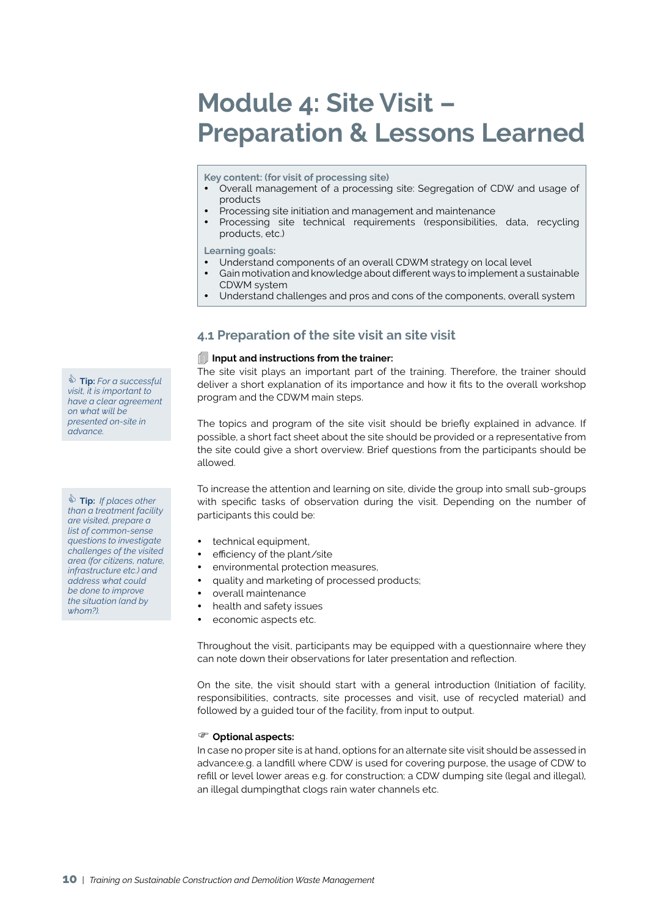## **Module 4: Site Visit – Preparation & Lessons Learned**

**Key content: (for visit of processing site)**

- Overall management of a processing site: Segregation of CDW and usage of products
- Processing site initiation and management and maintenance
- Processing site technical requirements (responsibilities, data, recycling products, etc.)

**Learning goals:** 

- Understand components of an overall CDWM strategy on local level
- Gain motivation and knowledge about different ways to implement a sustainable CDWM system
- y Understand challenges and pros and cons of the components, overall system

### **4.1 Preparation of the site visit an site visit**

#### **Input and instructions from the trainer:**

The site visit plays an important part of the training. Therefore, the trainer should deliver a short explanation of its importance and how it fits to the overall workshop program and the CDWM main steps.

The topics and program of the site visit should be briefly explained in advance. If possible, a short fact sheet about the site should be provided or a representative from the site could give a short overview. Brief questions from the participants should be allowed.

To increase the attention and learning on site, divide the group into small sub-groups with specific tasks of observation during the visit. Depending on the number of participants this could be:

- technical equipment,
- efficiency of the plant/site
- environmental protection measures,
- quality and marketing of processed products;
- overall maintenance
- health and safety issues
- economic aspects etc.

Throughout the visit, participants may be equipped with a questionnaire where they can note down their observations for later presentation and reflection.

On the site, the visit should start with a general introduction (Initiation of facility, responsibilities, contracts, site processes and visit, use of recycled material) and followed by a guided tour of the facility, from input to output.

#### **Optional aspects:**

In case no proper site is at hand, options for an alternate site visit should be assessed in advance:e.g. a landfill where CDW is used for covering purpose, the usage of CDW to refill or level lower areas e.g. for construction; a CDW dumping site (legal and illegal), an illegal dumpingthat clogs rain water channels etc.

 **Tip:** *For a successful visit, it is important to have a clear agreement on what will be presented on-site in advance.*

 **Tip:** *If places other than a treatment facility are visited, prepare a list of common-sense questions to investigate challenges of the visited area (for citizens, nature, infrastructure etc.) and address what could be done to improve the situation (and by whom?).*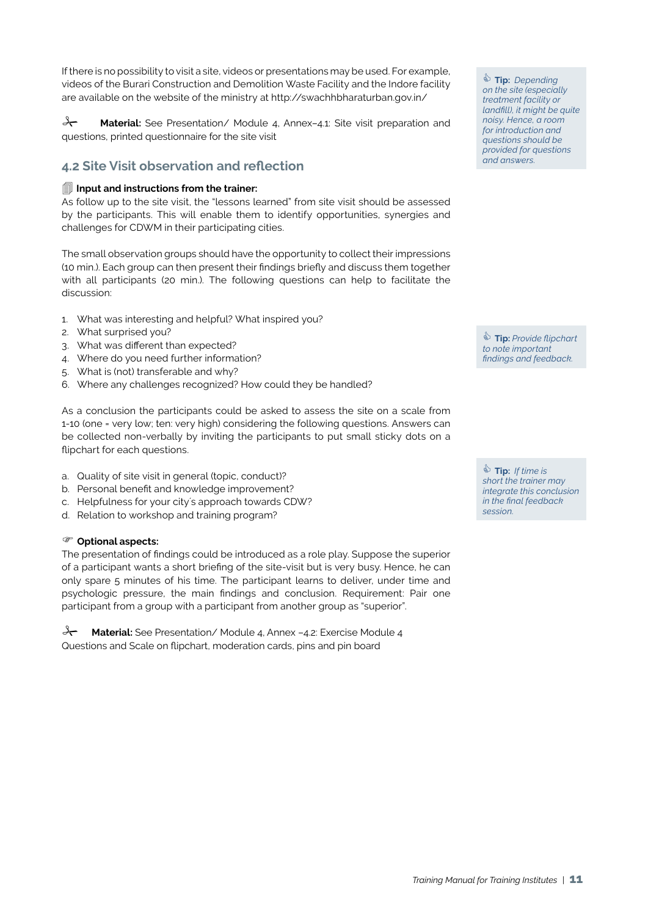If there is no possibility to visit a site, videos or presentations may be used. For example, videos of the Burari Construction and Demolition Waste Facility and the Indore facility are available on the website of the ministry at http://swachhbharaturban.gov.in/

**A Material:** See Presentation/ Module 4, Annex-4.1: Site visit preparation and questions, printed questionnaire for the site visit

## **4.2 Site Visit observation and reflection**

### **Input and instructions from the trainer:**

As follow up to the site visit, the "lessons learned" from site visit should be assessed by the participants. This will enable them to identify opportunities, synergies and challenges for CDWM in their participating cities.

The small observation groups should have the opportunity to collect their impressions (10 min.). Each group can then present their findings briefly and discuss them together with all participants (20 min.). The following questions can help to facilitate the discussion:

- 1. What was interesting and helpful? What inspired you?
- 2. What surprised you?
- 3. What was different than expected?
- 4. Where do you need further information?
- 5. What is (not) transferable and why?
- 6. Where any challenges recognized? How could they be handled?

As a conclusion the participants could be asked to assess the site on a scale from 1-10 (one = very low; ten: very high) considering the following questions. Answers can be collected non-verbally by inviting the participants to put small sticky dots on a flipchart for each questions.

- a. Quality of site visit in general (topic, conduct)?
- b. Personal benefit and knowledge improvement?
- c. Helpfulness for your city´s approach towards CDW?
- d. Relation to workshop and training program?

### **Optional aspects:**

The presentation of findings could be introduced as a role play. Suppose the superior of a participant wants a short briefing of the site-visit but is very busy. Hence, he can only spare 5 minutes of his time. The participant learns to deliver, under time and psychologic pressure, the main findings and conclusion. Requirement: Pair one participant from a group with a participant from another group as "superior".

**Material:** See Presentation/Module 4, Annex -4.2: Exercise Module 4 Questions and Scale on flipchart, moderation cards, pins and pin board

 $\bullet$  **Tip:** Depending *on the site (especially treatment facility or landfill), it might be quite noisy. Hence, a room for introduction and questions should be provided for questions and answers.*

 **Tip:** *Provide flipchart to note important findings and feedback.*

 **Tip:** *If time is short the trainer may integrate this conclusion in the final feedback session.*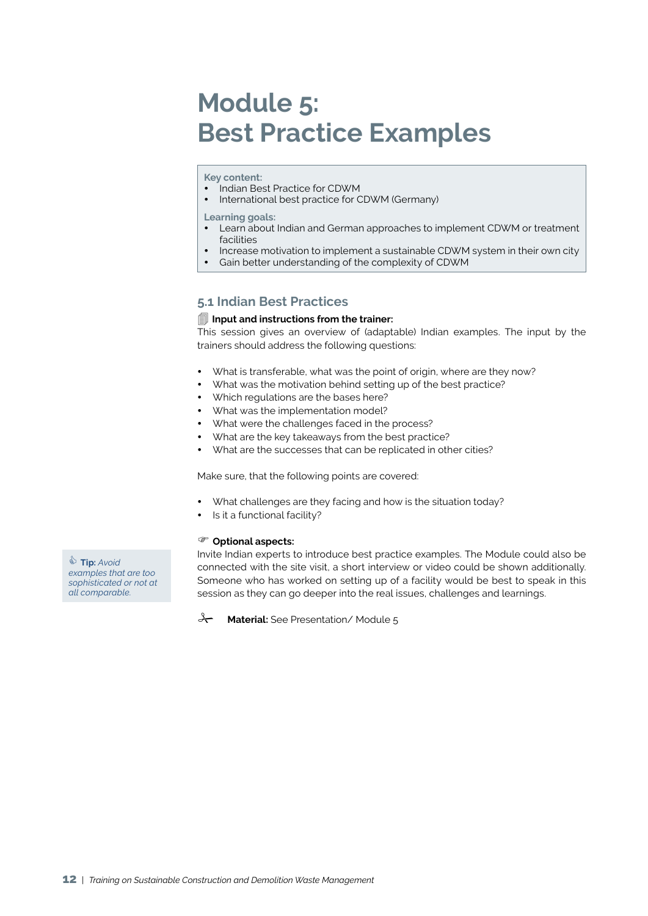## **Module 5: Best Practice Examples**

### **Key content:**

- Indian Best Practice for CDWM
- International best practice for CDWM (Germany)

**Learning goals:** 

- y Learn about Indian and German approaches to implement CDWM or treatment facilities
- Increase motivation to implement a sustainable CDWM system in their own city
- Gain better understanding of the complexity of CDWM

### **5.1 Indian Best Practices**

### **Input and instructions from the trainer:**

This session gives an overview of (adaptable) Indian examples. The input by the trainers should address the following questions:

- What is transferable, what was the point of origin, where are they now?
- What was the motivation behind setting up of the best practice?
- Which regulations are the bases here?
- What was the implementation model?
- What were the challenges faced in the process?
- What are the key takeaways from the best practice?
- What are the successes that can be replicated in other cities?

Make sure, that the following points are covered:

- What challenges are they facing and how is the situation today?
- Is it a functional facility?

### **Optional aspects:**

Invite Indian experts to introduce best practice examples. The Module could also be connected with the site visit, a short interview or video could be shown additionally. Someone who has worked on setting up of a facility would be best to speak in this session as they can go deeper into the real issues, challenges and learnings.

**A** Material: See Presentation/Module 5

 **Tip:** *Avoid examples that are too sophisticated or not at all comparable.*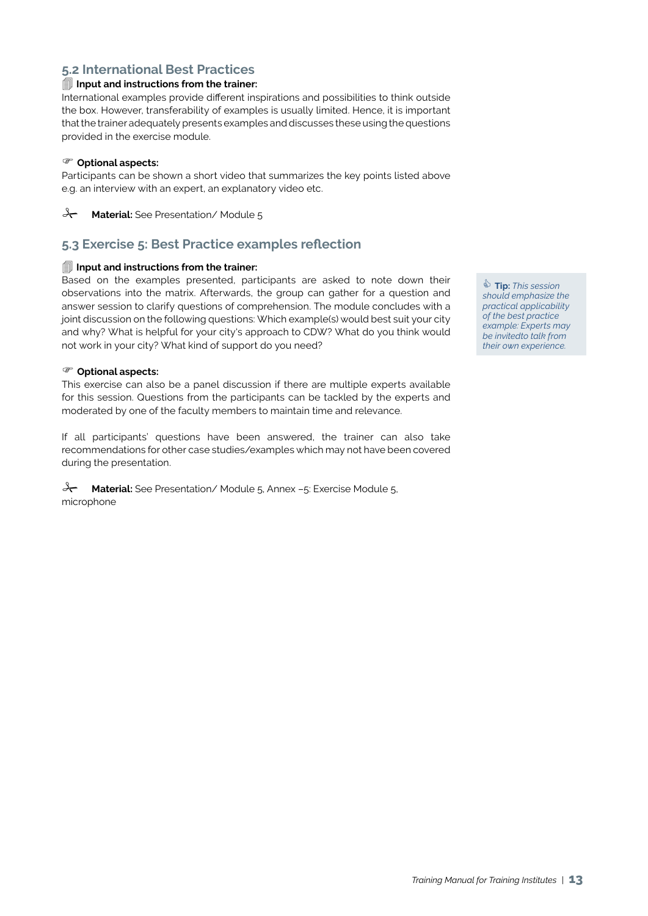### **5.2 International Best Practices**

### **Input and instructions from the trainer:**

International examples provide different inspirations and possibilities to think outside the box. However, transferability of examples is usually limited. Hence, it is important that the trainer adequately presents examples and discusses these using the questions provided in the exercise module.

### **Optional aspects:**

Participants can be shown a short video that summarizes the key points listed above e.g. an interview with an expert, an explanatory video etc.

**A Material:** See Presentation/Module 5

### **5.3 Exercise 5: Best Practice examples reflection**

### **Input and instructions from the trainer:**

Based on the examples presented, participants are asked to note down their observations into the matrix. Afterwards, the group can gather for a question and answer session to clarify questions of comprehension. The module concludes with a joint discussion on the following questions: Which example(s) would best suit your city and why? What is helpful for your city's approach to CDW? What do you think would not work in your city? What kind of support do you need?

### **Optional aspects:**

This exercise can also be a panel discussion if there are multiple experts available for this session. Questions from the participants can be tackled by the experts and moderated by one of the faculty members to maintain time and relevance.

If all participants' questions have been answered, the trainer can also take recommendations for other case studies/examples which may not have been covered during the presentation.

**Material:** See Presentation/ Module 5, Annex -5: Exercise Module 5, microphone

 **Tip:** *This session should emphasize the practical applicability of the best practice example: Experts may be invitedto talk from their own experience.*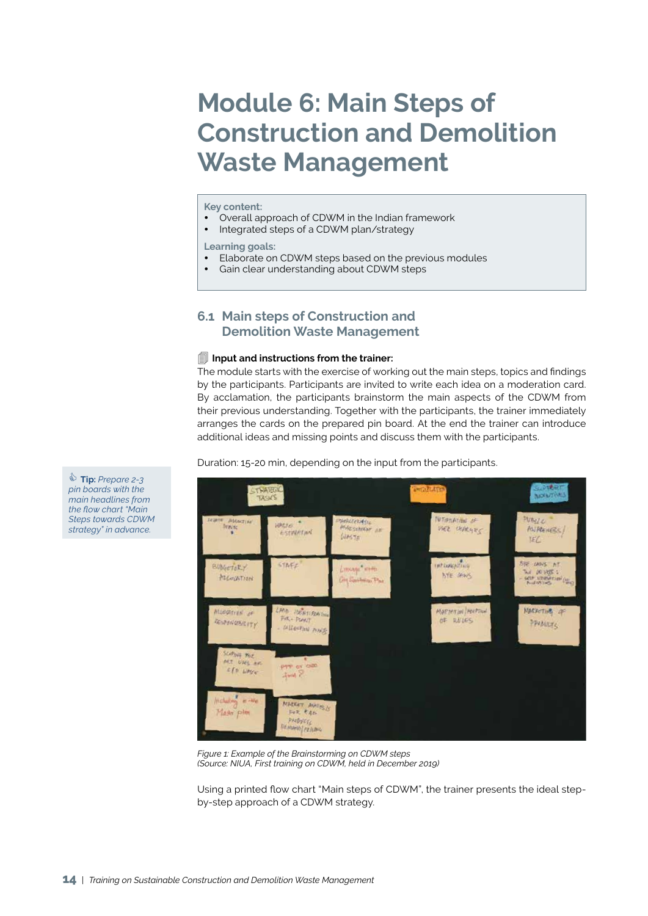## **Module 6: Main Steps of Construction and Demolition Waste Management**

#### **Key content:**

- Overall approach of CDWM in the Indian framework
- Integrated steps of a CDWM plan/strategy

#### **Learning goals:**

- Elaborate on CDWM steps based on the previous modules
- Gain clear understanding about CDWM steps

### **6.1 Main steps of Construction and Demolition Waste Management**

#### **Input and instructions from the trainer:**

The module starts with the exercise of working out the main steps, topics and findings by the participants. Participants are invited to write each idea on a moderation card. By acclamation, the participants brainstorm the main aspects of the CDWM from their previous understanding. Together with the participants, the trainer immediately arranges the cards on the prepared pin board. At the end the trainer can introduce additional ideas and missing points and discuss them with the participants.

Duration: 15-20 min, depending on the input from the participants.



*Figure 1: Example of the Brainstorming on CDWM steps (Source: NIUA, First training on CDWM, held in December 2019)*

Using a printed flow chart "Main steps of CDWM", the trainer presents the ideal stepby-step approach of a CDWM strategy.

 **Tip:** *Prepare 2-3 pin boards with the main headlines from the flow chart "Main Steps towards CDWM strategy" in advance.*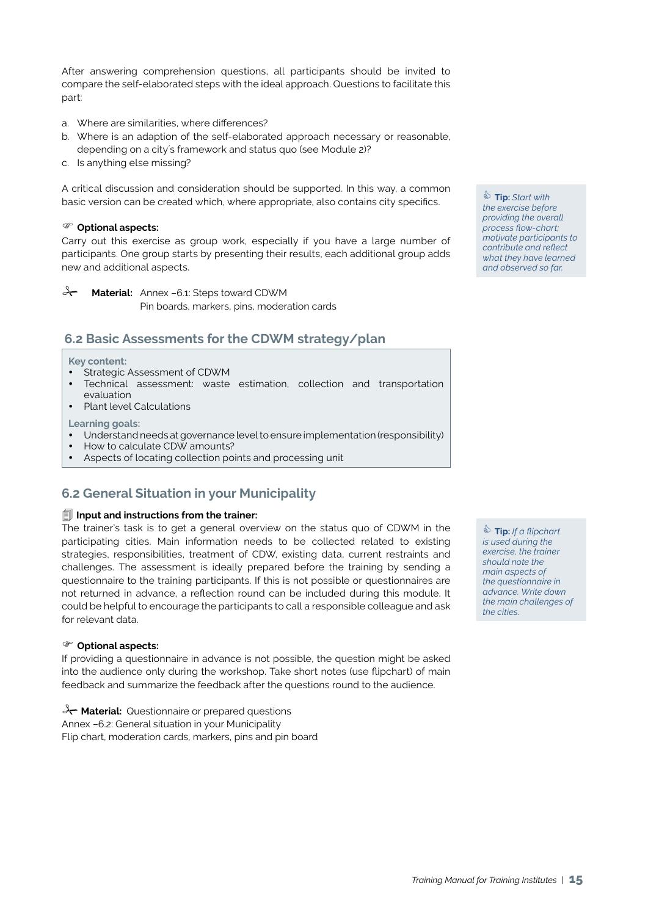After answering comprehension questions, all participants should be invited to compare the self-elaborated steps with the ideal approach. Questions to facilitate this part:

- a. Where are similarities, where differences?
- b. Where is an adaption of the self-elaborated approach necessary or reasonable, depending on a city´s framework and status quo (see Module 2)?
- c. Is anything else missing?

A critical discussion and consideration should be supported. In this way, a common basic version can be created which, where appropriate, also contains city specifics.

### **Optional aspects:**

Carry out this exercise as group work, especially if you have a large number of participants. One group starts by presenting their results, each additional group adds new and additional aspects.

**A Material:** Annex –6.1: Steps toward CDWM

Pin boards, markers, pins, moderation cards

## **6.2 Basic Assessments for the CDWM strategy/plan**

#### **Key content:**

- Strategic Assessment of CDWM
- Technical assessment: waste estimation, collection and transportation evaluation
- Plant level Calculations

### **Learning goals:**

- Understand needs at governance level to ensure implementation (responsibility)
- How to calculate CDW amounts?
- Aspects of locating collection points and processing unit

## **6.2 General Situation in your Municipality**

### **I** Input and instructions from the trainer:

The trainer's task is to get a general overview on the status quo of CDWM in the participating cities. Main information needs to be collected related to existing strategies, responsibilities, treatment of CDW, existing data, current restraints and challenges. The assessment is ideally prepared before the training by sending a questionnaire to the training participants. If this is not possible or questionnaires are not returned in advance, a reflection round can be included during this module. It could be helpful to encourage the participants to call a responsible colleague and ask for relevant data.

### **Optional aspects:**

If providing a questionnaire in advance is not possible, the question might be asked into the audience only during the workshop. Take short notes (use flipchart) of main feedback and summarize the feedback after the questions round to the audience.

**X** Material: Questionnaire or prepared questions Annex –6.2: General situation in your Municipality Flip chart, moderation cards, markers, pins and pin board

 **Tip:** *Start with the exercise before providing the overall process flow-chart; motivate participants to contribute and reflect what they have learned and observed so far.*

 **Tip:** *If a flipchart is used during the exercise, the trainer should note the main aspects of the questionnaire in advance. Write down the main challenges of the cities.*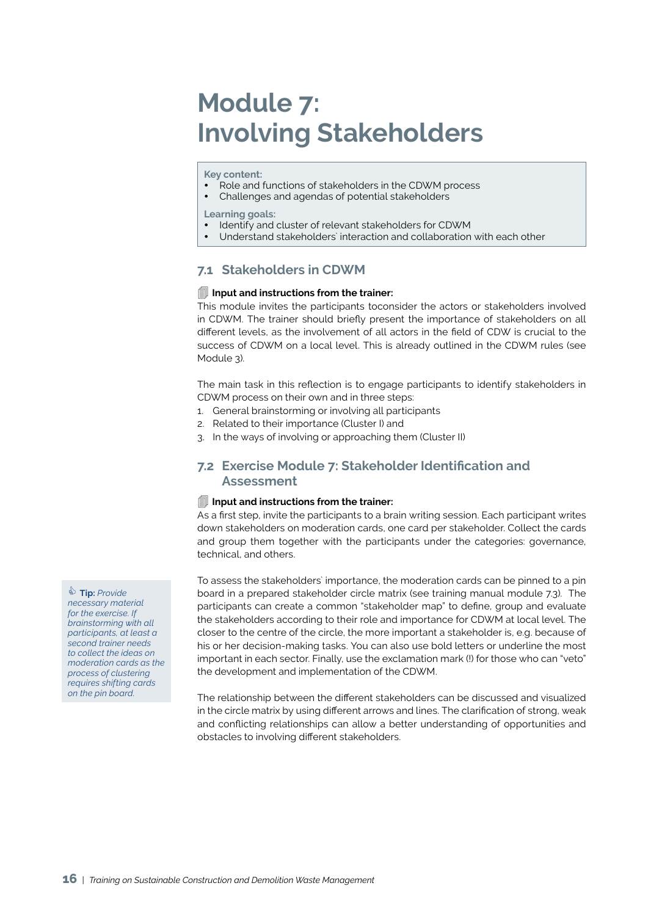## **Module 7: Involving Stakeholders**

**Key content:** 

- Role and functions of stakeholders in the CDWM process
- Challenges and agendas of potential stakeholders

**Learning goals:** 

- Identify and cluster of relevant stakeholders for CDWM
- Understand stakeholders` interaction and collaboration with each other

### **7.1 Stakeholders in CDWM**

### **Input and instructions from the trainer:**

This module invites the participants toconsider the actors or stakeholders involved in CDWM. The trainer should briefly present the importance of stakeholders on all different levels, as the involvement of all actors in the field of CDW is crucial to the success of CDWM on a local level. This is already outlined in the CDWM rules (see Module 3).

The main task in this reflection is to engage participants to identify stakeholders in CDWM process on their own and in three steps:

- 1. General brainstorming or involving all participants
- 2. Related to their importance (Cluster I) and
- 3. In the ways of involving or approaching them (Cluster II)

### **7.2 Exercise Module 7: Stakeholder Identification and Assessment**

### **Input and instructions from the trainer:**

As a first step, invite the participants to a brain writing session. Each participant writes down stakeholders on moderation cards, one card per stakeholder. Collect the cards and group them together with the participants under the categories: governance, technical, and others.

To assess the stakeholders` importance, the moderation cards can be pinned to a pin board in a prepared stakeholder circle matrix (see training manual module 7.3). The participants can create a common "stakeholder map" to define, group and evaluate the stakeholders according to their role and importance for CDWM at local level. The closer to the centre of the circle, the more important a stakeholder is, e.g. because of his or her decision-making tasks. You can also use bold letters or underline the most important in each sector. Finally, use the exclamation mark (!) for those who can "veto" the development and implementation of the CDWM.

The relationship between the different stakeholders can be discussed and visualized in the circle matrix by using different arrows and lines. The clarification of strong, weak and conflicting relationships can allow a better understanding of opportunities and obstacles to involving different stakeholders.

 **Tip:** *Provide necessary material for the exercise. If brainstorming with all participants, at least a second trainer needs to collect the ideas on moderation cards as the process of clustering requires shifting cards on the pin board.*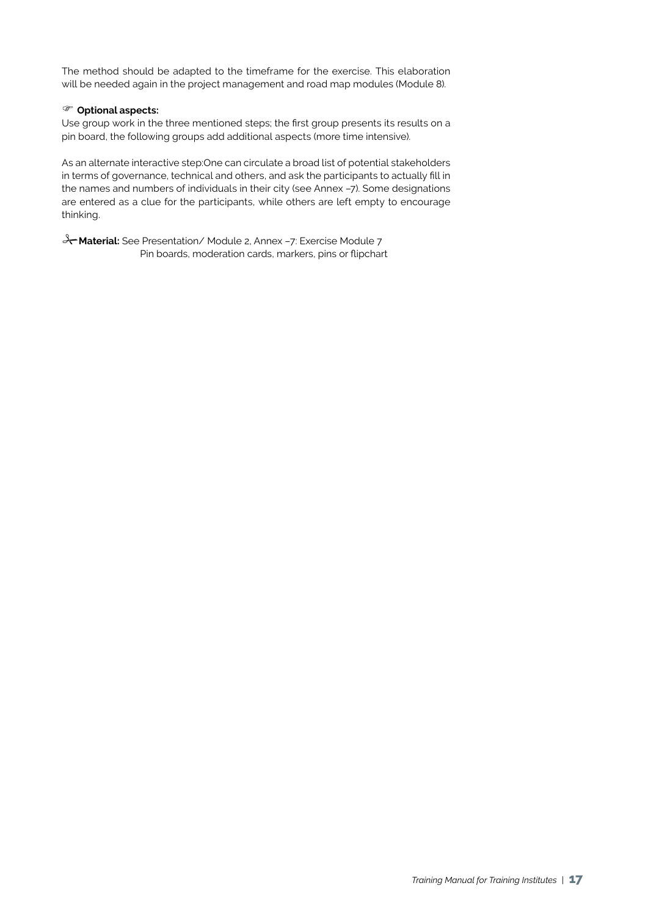The method should be adapted to the timeframe for the exercise. This elaboration will be needed again in the project management and road map modules (Module 8).

### **Optional aspects:**

Use group work in the three mentioned steps; the first group presents its results on a pin board, the following groups add additional aspects (more time intensive).

As an alternate interactive step:One can circulate a broad list of potential stakeholders in terms of governance, technical and others, and ask the participants to actually fill in the names and numbers of individuals in their city (see Annex –7). Some designations are entered as a clue for the participants, while others are left empty to encourage thinking.

**Material:** See Presentation/ Module 2, Annex –7: Exercise Module 7 Pin boards, moderation cards, markers, pins or flipchart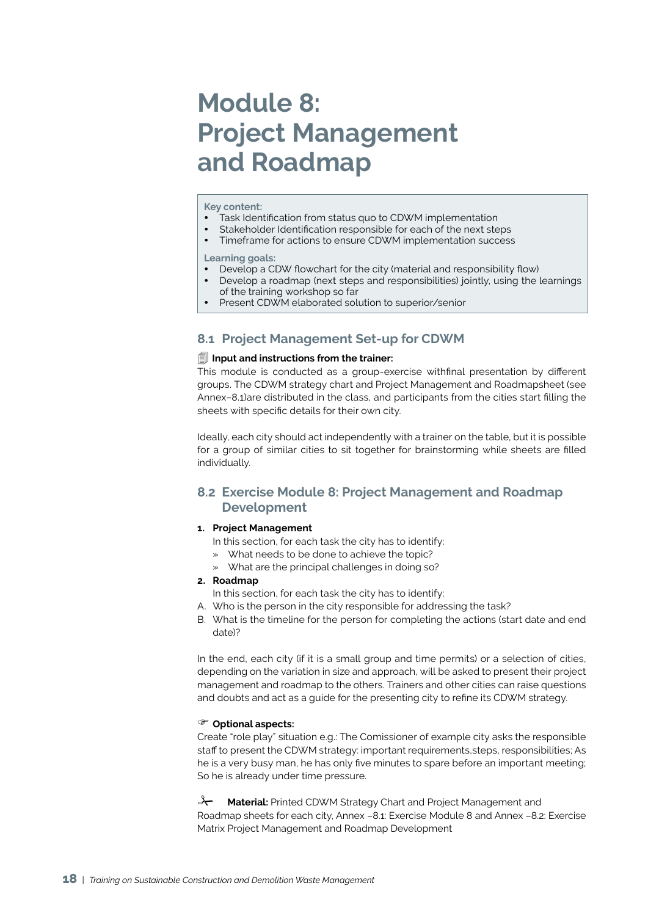## **Module 8: Project Management and Roadmap**

#### **Key content:**

- Task Identification from status quo to CDWM implementation
- Stakeholder Identification responsible for each of the next steps
- Timeframe for actions to ensure CDWM implementation success

**Learning goals:** 

- Develop a CDW flowchart for the city (material and responsibility flow)
- Develop a roadmap (next steps and responsibilities) jointly, using the learnings of the training workshop so far
- Present CDWM elaborated solution to superior/senior

## **8.1 Project Management Set-up for CDWM**

### **Input and instructions from the trainer:**

This module is conducted as a group-exercise withfinal presentation by different groups. The CDWM strategy chart and Project Management and Roadmapsheet (see Annex–8.1)are distributed in the class, and participants from the cities start filling the sheets with specific details for their own city.

Ideally, each city should act independently with a trainer on the table, but it is possible for a group of similar cities to sit together for brainstorming while sheets are filled individually.

### **8.2 Exercise Module 8: Project Management and Roadmap Development**

### **1. Project Management**

- In this section, for each task the city has to identify:
- What needs to be done to achieve the topic?
- » What are the principal challenges in doing so?
- **2. Roadmap**
	- In this section, for each task the city has to identify:
- A. Who is the person in the city responsible for addressing the task?
- B. What is the timeline for the person for completing the actions (start date and end date)?

In the end, each city (if it is a small group and time permits) or a selection of cities, depending on the variation in size and approach, will be asked to present their project management and roadmap to the others. Trainers and other cities can raise questions and doubts and act as a guide for the presenting city to refine its CDWM strategy.

#### **Optional aspects:**

Create "role play" situation e.g.: The Comissioner of example city asks the responsible staff to present the CDWM strategy: important requirements,steps, responsibilities; As he is a very busy man, he has only five minutes to spare before an important meeting; So he is already under time pressure.

**A Material:** Printed CDWM Strategy Chart and Project Management and Roadmap sheets for each city, Annex –8.1: Exercise Module 8 and Annex –8.2: Exercise Matrix Project Management and Roadmap Development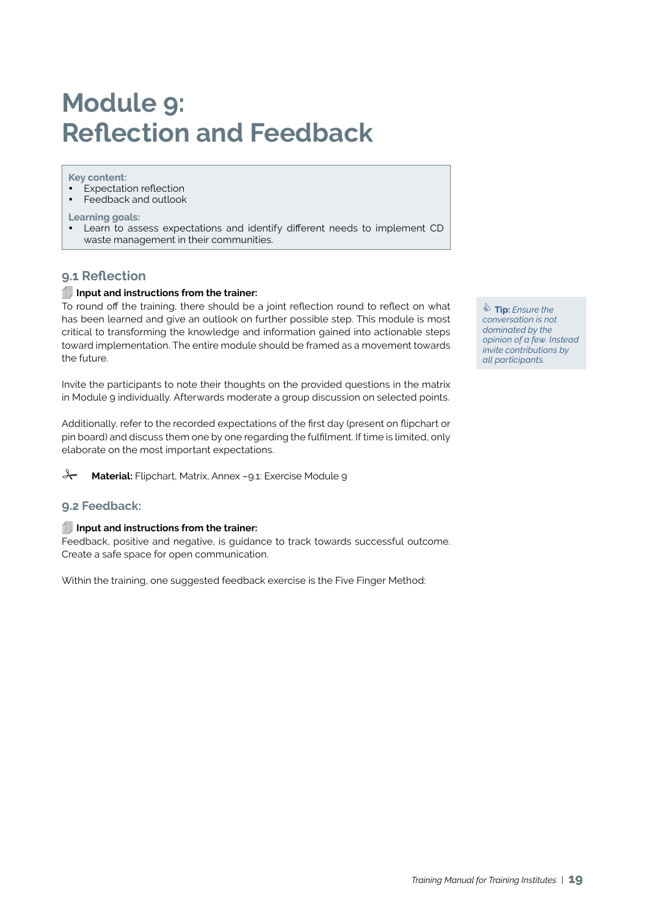## **Module 9: Reflection and Feedback**

#### **Key content:**

- $E$ xpectation reflection
- y Feedback and outlook

### **Learning goals:**

Learn to assess expectations and identify different needs to implement CD waste management in their communities.

### **9.1 Reflection**

### **Input and instructions from the trainer:**

To round off the training, there should be a joint reflection round to reflect on what has been learned and give an outlook on further possible step. This module is most critical to transforming the knowledge and information gained into actionable steps toward implementation. The entire module should be framed as a movement towards the future.

Invite the participants to note their thoughts on the provided questions in the matrix in Module 9 individually. Afterwards moderate a group discussion on selected points.

Additionally, refer to the recorded expectations of the first day (present on flipchart or pin board) and discuss them one by one regarding the fulfilment. If time is limited, only elaborate on the most important expectations.

**A Material:** Flipchart, Matrix, Annex -9.1: Exercise Module 9

### **9.2 Feedback:**

### **Input and instructions from the trainer:**

Feedback, positive and negative, is guidance to track towards successful outcome. Create a safe space for open communication.

Within the training, one suggested feedback exercise is the Five Finger Method:

 **Tip:** *Ensure the conversation is not dominated by the opinion of a few. Instead invite contributions by all participants.*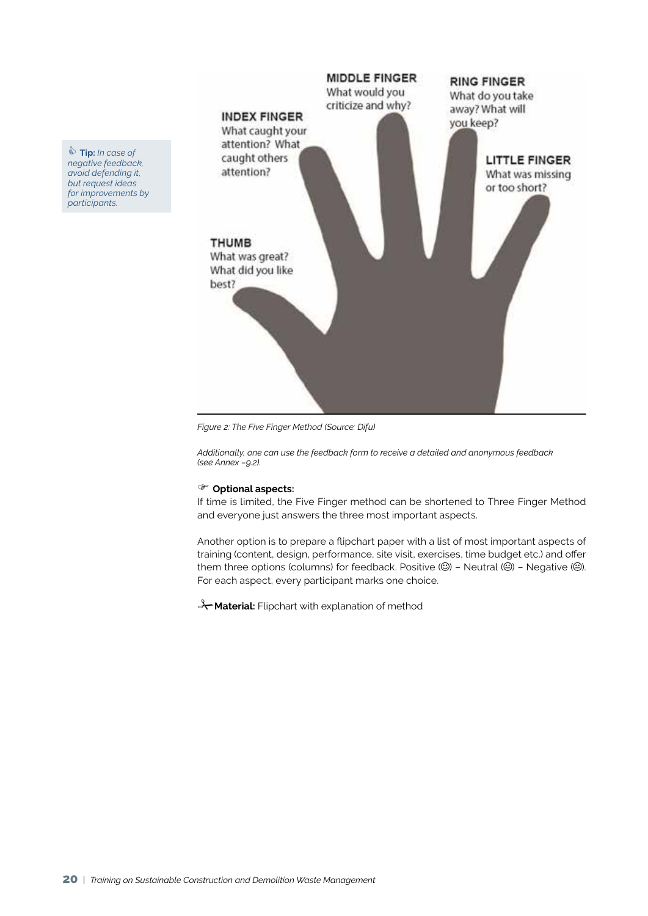

*Figure 2: The Five Finger Method (Source: Difu)*

*Additionally, one can use the feedback form to receive a detailed and anonymous feedback (see Annex –9.2).*

#### **Optional aspects:**

If time is limited, the Five Finger method can be shortened to Three Finger Method and everyone just answers the three most important aspects.

Another option is to prepare a flipchart paper with a list of most important aspects of training (content, design, performance, site visit, exercises, time budget etc.) and offer them three options (columns) for feedback. Positive  $\circled$  - Neutral  $\circledcirc$ ) - Negative  $\circledcirc$ ). For each aspect, every participant marks one choice.

**X** Material: Flipchart with explanation of method

 **Tip:** *In case of negative feedback, avoid defending it, but request ideas for improvements by participants.*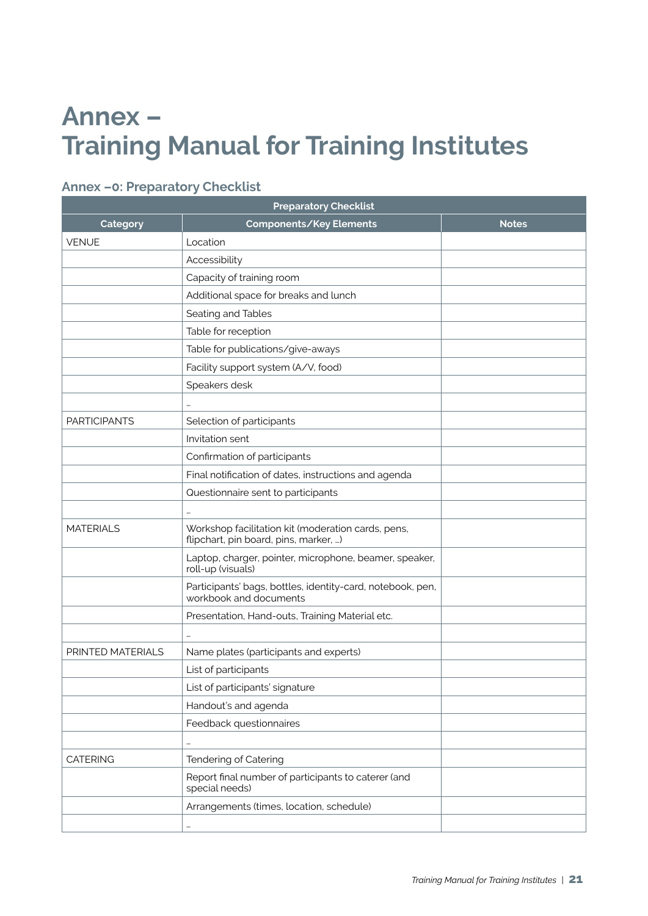## **Annex – Training Manual for Training Institutes**

## **Annex –0: Preparatory Checklist**

| <b>Preparatory Checklist</b> |                                                                                             |              |
|------------------------------|---------------------------------------------------------------------------------------------|--------------|
| Category                     | Components/Key Elements                                                                     | <b>Notes</b> |
| <b>VENUE</b>                 | Location                                                                                    |              |
|                              | Accessibility                                                                               |              |
|                              | Capacity of training room                                                                   |              |
|                              | Additional space for breaks and lunch                                                       |              |
|                              | Seating and Tables                                                                          |              |
| Table for reception          |                                                                                             |              |
|                              | Table for publications/give-aways                                                           |              |
|                              | Facility support system (A/V, food)                                                         |              |
|                              | Speakers desk                                                                               |              |
|                              |                                                                                             |              |
| <b>PARTICIPANTS</b>          | Selection of participants                                                                   |              |
|                              | Invitation sent                                                                             |              |
|                              | Confirmation of participants                                                                |              |
|                              | Final notification of dates, instructions and agenda                                        |              |
|                              | Questionnaire sent to participants                                                          |              |
|                              |                                                                                             |              |
| <b>MATERIALS</b>             | Workshop facilitation kit (moderation cards, pens,<br>flipchart, pin board, pins, marker, ) |              |
|                              | Laptop, charger, pointer, microphone, beamer, speaker,<br>roll-up (visuals)                 |              |
|                              | Participants' bags, bottles, identity-card, notebook, pen,<br>workbook and documents        |              |
|                              | Presentation, Hand-outs, Training Material etc.                                             |              |
|                              |                                                                                             |              |
| PRINTED MATERIALS            | Name plates (participants and experts)                                                      |              |
|                              | List of participants                                                                        |              |
|                              | List of participants' signature                                                             |              |
|                              | Handout's and agenda                                                                        |              |
|                              | Feedback questionnaires                                                                     |              |
|                              | $\cdots$                                                                                    |              |
| <b>CATERING</b>              | Tendering of Catering                                                                       |              |
|                              | Report final number of participants to caterer (and<br>special needs)                       |              |
|                              | Arrangements (times, location, schedule)                                                    |              |
|                              |                                                                                             |              |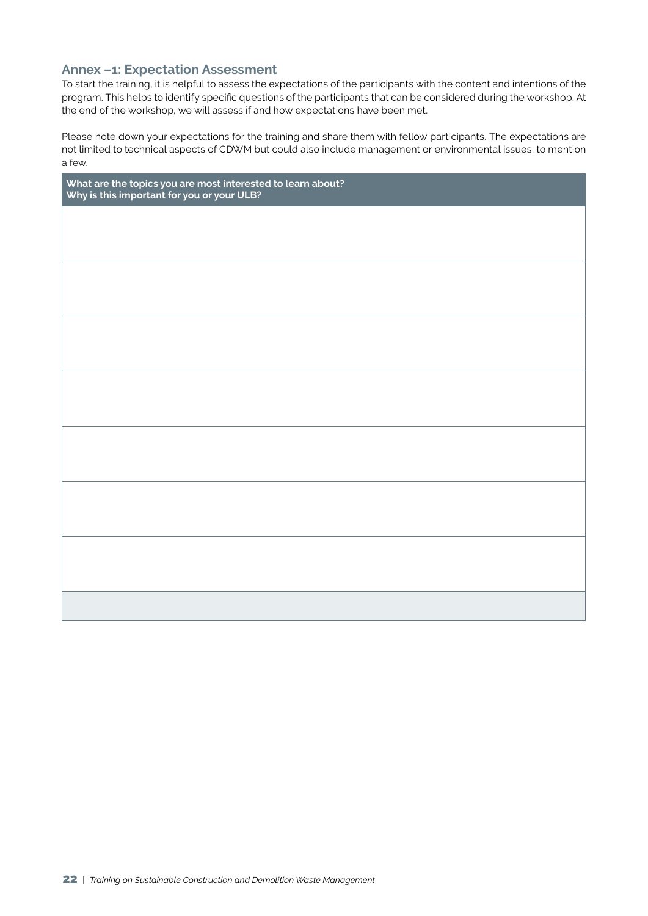### **Annex –1: Expectation Assessment**

To start the training, it is helpful to assess the expectations of the participants with the content and intentions of the program. This helps to identify specific questions of the participants that can be considered during the workshop. At the end of the workshop, we will assess if and how expectations have been met.

Please note down your expectations for the training and share them with fellow participants. The expectations are not limited to technical aspects of CDWM but could also include management or environmental issues, to mention a few.

| What are the topics you are most interested to learn about?<br>Why is this important for you or your ULB? |  |  |
|-----------------------------------------------------------------------------------------------------------|--|--|
|                                                                                                           |  |  |
|                                                                                                           |  |  |
|                                                                                                           |  |  |
|                                                                                                           |  |  |
|                                                                                                           |  |  |
|                                                                                                           |  |  |
|                                                                                                           |  |  |
|                                                                                                           |  |  |
|                                                                                                           |  |  |
|                                                                                                           |  |  |
|                                                                                                           |  |  |
|                                                                                                           |  |  |
|                                                                                                           |  |  |
|                                                                                                           |  |  |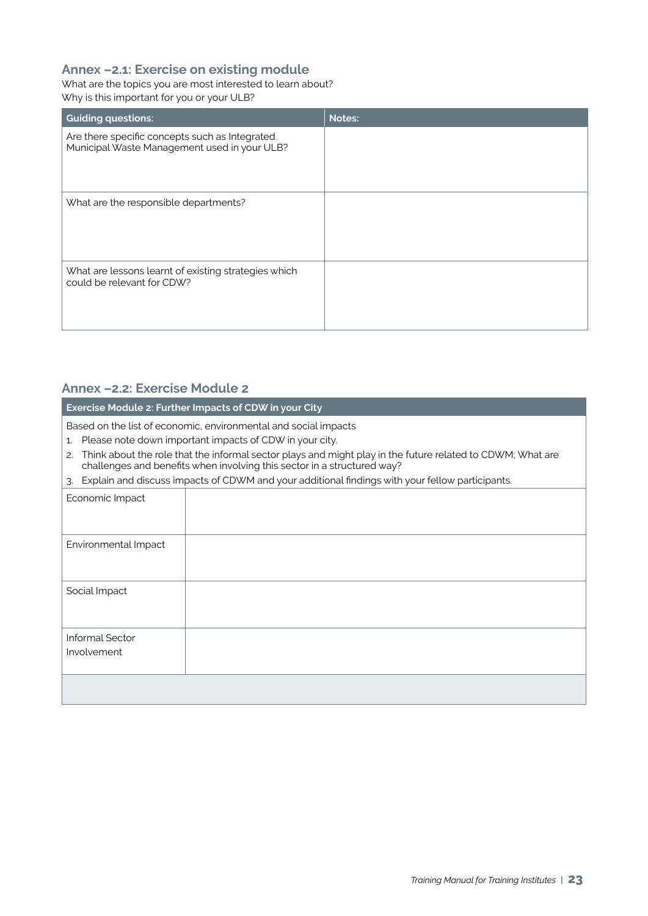## **Annex –2.1: Exercise on existing module**

What are the topics you are most interested to learn about? Why is this important for you or your ULB?

| <b>Guiding questions:</b>                                                                      | <b>Notes:</b> |
|------------------------------------------------------------------------------------------------|---------------|
| Are there specific concepts such as Integrated<br>Municipal Waste Management used in your ULB? |               |
| What are the responsible departments?                                                          |               |
| What are lessons learnt of existing strategies which<br>could be relevant for CDW?             |               |

## **Annex –2.2: Exercise Module 2**

**Exercise Module 2: Further Impacts of CDW in your City** 

Based on the list of economic, environmental and social impacts

- 1. Please note down important impacts of CDW in your city.
- 2. Think about the role that the informal sector plays and might play in the future related to CDWM; What are challenges and benefits when involving this sector in a structured way?
- 3. Explain and discuss impacts of CDWM and your additional findings with your fellow participants.

| Economic Impact                |  |
|--------------------------------|--|
| Environmental Impact           |  |
| Social Impact                  |  |
| Informal Sector<br>Involvement |  |
|                                |  |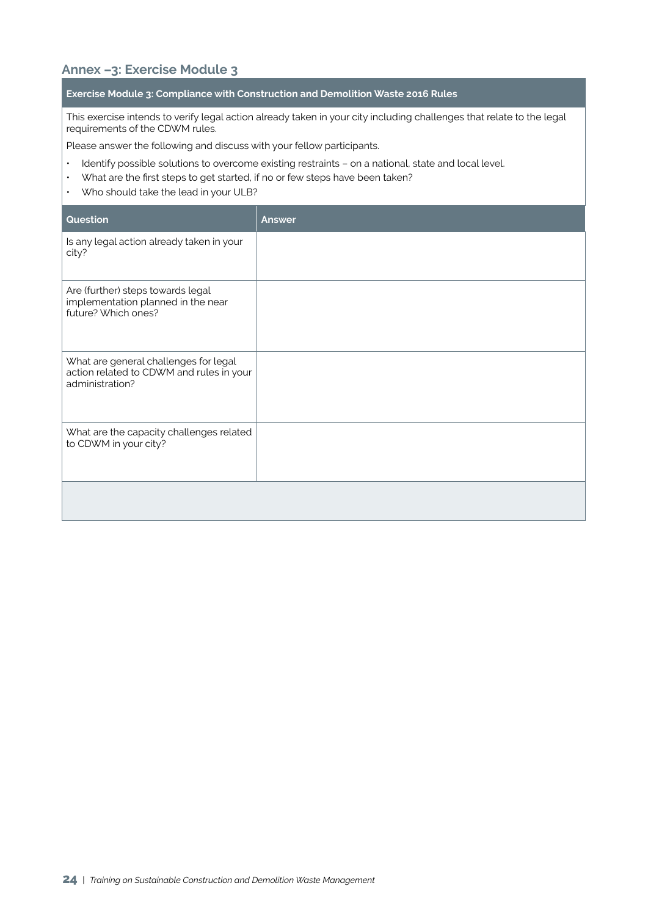## **Annex –3: Exercise Module 3**

### **Exercise Module 3: Compliance with Construction and Demolition Waste 2016 Rules**

This exercise intends to verify legal action already taken in your city including challenges that relate to the legal requirements of the CDWM rules.

Please answer the following and discuss with your fellow participants.

- Identify possible solutions to overcome existing restraints on a national, state and local level.
- What are the first steps to get started, if no or few steps have been taken?
- Who should take the lead in your ULB?

| Question                                                                                             | Answer |
|------------------------------------------------------------------------------------------------------|--------|
| Is any legal action already taken in your<br>city?                                                   |        |
| Are (further) steps towards legal<br>implementation planned in the near<br>future? Which ones?       |        |
| What are general challenges for legal<br>action related to CDWM and rules in your<br>administration? |        |
| What are the capacity challenges related<br>to CDWM in your city?                                    |        |
|                                                                                                      |        |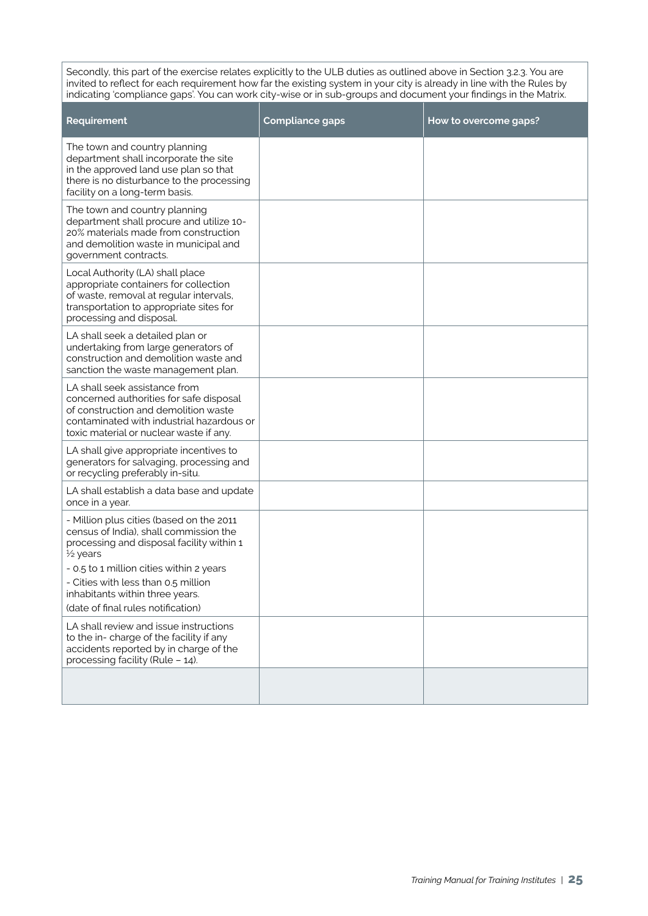Secondly, this part of the exercise relates explicitly to the ULB duties as outlined above in Section 3.2.3. You are invited to reflect for each requirement how far the existing system in your city is already in line with the Rules by indicating 'compliance gaps'. You can work city-wise or in sub-groups and document your findings in the Matrix.

| Requirement                                                                                                                                                                                                                                                                                              | <b>Compliance gaps</b> | How to overcome gaps? |
|----------------------------------------------------------------------------------------------------------------------------------------------------------------------------------------------------------------------------------------------------------------------------------------------------------|------------------------|-----------------------|
| The town and country planning<br>department shall incorporate the site<br>in the approved land use plan so that<br>there is no disturbance to the processing<br>facility on a long-term basis.                                                                                                           |                        |                       |
| The town and country planning<br>department shall procure and utilize 10-<br>20% materials made from construction<br>and demolition waste in municipal and<br>government contracts.                                                                                                                      |                        |                       |
| Local Authority (LA) shall place<br>appropriate containers for collection<br>of waste, removal at regular intervals,<br>transportation to appropriate sites for<br>processing and disposal.                                                                                                              |                        |                       |
| LA shall seek a detailed plan or<br>undertaking from large generators of<br>construction and demolition waste and<br>sanction the waste management plan.                                                                                                                                                 |                        |                       |
| LA shall seek assistance from<br>concerned authorities for safe disposal<br>of construction and demolition waste<br>contaminated with industrial hazardous or<br>toxic material or nuclear waste if any.                                                                                                 |                        |                       |
| LA shall give appropriate incentives to<br>generators for salvaging, processing and<br>or recycling preferably in-situ.                                                                                                                                                                                  |                        |                       |
| LA shall establish a data base and update<br>once in a year.                                                                                                                                                                                                                                             |                        |                       |
| - Million plus cities (based on the 2011<br>census of India), shall commission the<br>processing and disposal facility within 1<br>1/2 years<br>- 0.5 to 1 million cities within 2 years<br>- Cities with less than 0.5 million<br>inhabitants within three years.<br>(date of final rules notification) |                        |                       |
| LA shall review and issue instructions<br>to the in- charge of the facility if any<br>accidents reported by in charge of the<br>processing facility (Rule - 14).                                                                                                                                         |                        |                       |
|                                                                                                                                                                                                                                                                                                          |                        |                       |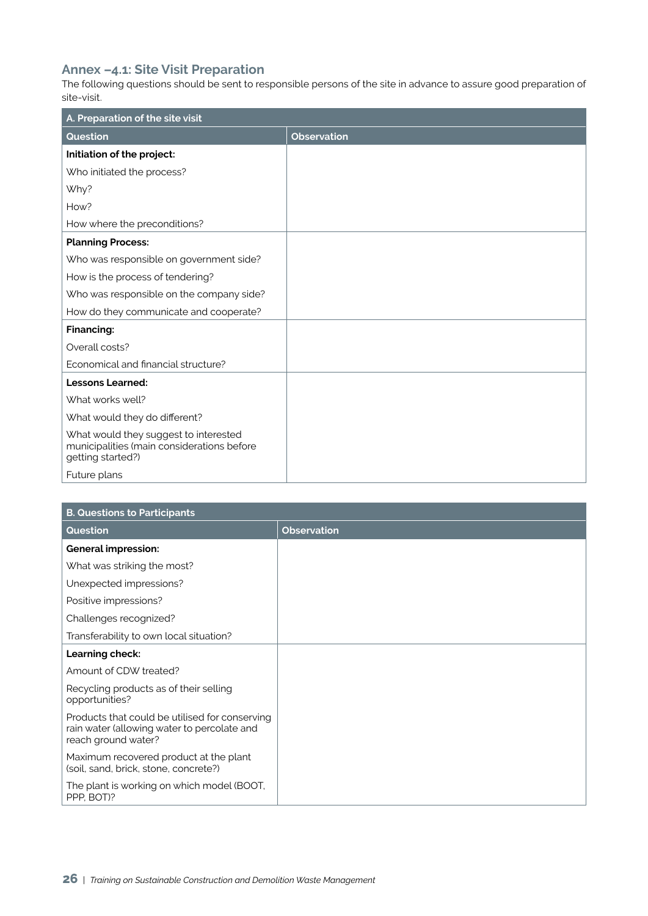## **Annex –4.1: Site Visit Preparation**

The following questions should be sent to responsible persons of the site in advance to assure good preparation of site-visit.

| A. Preparation of the site visit                                                                         |                    |  |
|----------------------------------------------------------------------------------------------------------|--------------------|--|
| Question                                                                                                 | <b>Observation</b> |  |
| Initiation of the project:                                                                               |                    |  |
| Who initiated the process?                                                                               |                    |  |
| Why?                                                                                                     |                    |  |
| How?                                                                                                     |                    |  |
| How where the preconditions?                                                                             |                    |  |
| <b>Planning Process:</b>                                                                                 |                    |  |
| Who was responsible on government side?                                                                  |                    |  |
| How is the process of tendering?                                                                         |                    |  |
| Who was responsible on the company side?                                                                 |                    |  |
| How do they communicate and cooperate?                                                                   |                    |  |
| Financing:                                                                                               |                    |  |
| Overall costs?                                                                                           |                    |  |
| Economical and financial structure?                                                                      |                    |  |
| <b>Lessons Learned:</b>                                                                                  |                    |  |
| What works well?                                                                                         |                    |  |
| What would they do different?                                                                            |                    |  |
| What would they suggest to interested<br>municipalities (main considerations before<br>getting started?) |                    |  |
| Future plans                                                                                             |                    |  |

| <b>B. Questions to Participants</b>                                                                                  |                    |  |
|----------------------------------------------------------------------------------------------------------------------|--------------------|--|
| Question                                                                                                             | <b>Observation</b> |  |
| <b>General impression:</b>                                                                                           |                    |  |
| What was striking the most?                                                                                          |                    |  |
| Unexpected impressions?                                                                                              |                    |  |
| Positive impressions?                                                                                                |                    |  |
| Challenges recognized?                                                                                               |                    |  |
| Transferability to own local situation?                                                                              |                    |  |
| Learning check:                                                                                                      |                    |  |
| Amount of CDW treated?                                                                                               |                    |  |
| Recycling products as of their selling<br>opportunities?                                                             |                    |  |
| Products that could be utilised for conserving<br>rain water (allowing water to percolate and<br>reach ground water? |                    |  |
| Maximum recovered product at the plant<br>(soil, sand, brick, stone, concrete?)                                      |                    |  |
| The plant is working on which model (BOOT,<br>PPP, BOT)?                                                             |                    |  |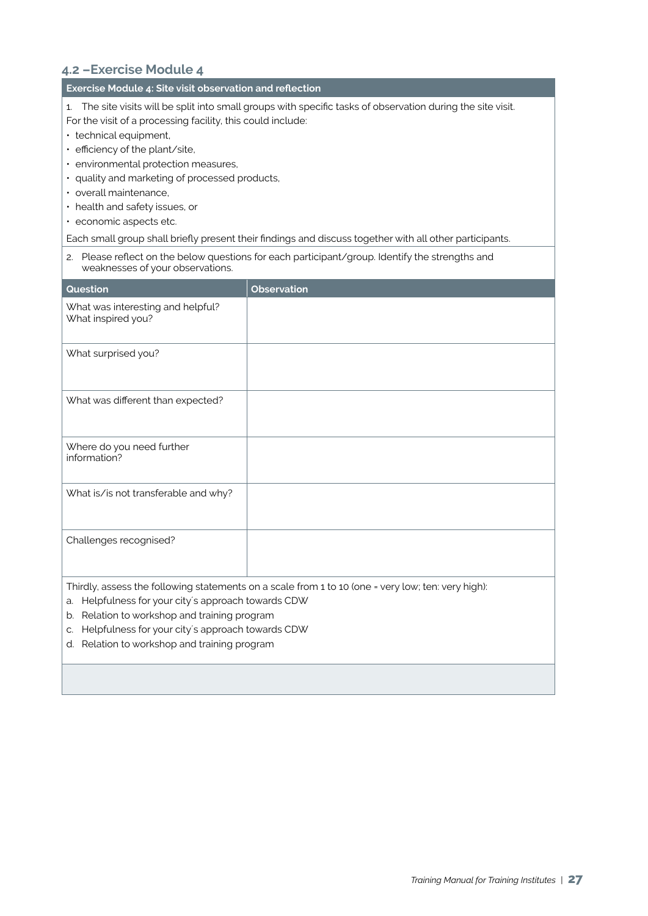## **4.2 –Exercise Module 4**

### **Exercise Module 4: Site visit observation and reflection**

1. The site visits will be split into small groups with specific tasks of observation during the site visit. For the visit of a processing facility, this could include:

- technical equipment,
- efficiency of the plant/site,
- environmental protection measures,
- quality and marketing of processed products,
- overall maintenance,
- health and safety issues, or
- economic aspects etc.

Each small group shall briefly present their findings and discuss together with all other participants.

2. Please reflect on the below questions for each participant/group. Identify the strengths and weaknesses of your observations.

| Question                                                | <b>Observation</b>                                                                                 |
|---------------------------------------------------------|----------------------------------------------------------------------------------------------------|
| What was interesting and helpful?<br>What inspired you? |                                                                                                    |
| What surprised you?                                     |                                                                                                    |
| What was different than expected?                       |                                                                                                    |
| Where do you need further<br>information?               |                                                                                                    |
| What is/is not transferable and why?                    |                                                                                                    |
| Challenges recognised?                                  |                                                                                                    |
|                                                         | Thirdly, assess the following statements on a scale from 1 to 10 (one = very low; ten: very high): |

- a. Helpfulness for your city´s approach towards CDW
- b. Relation to workshop and training program
- c. Helpfulness for your city´s approach towards CDW
- d. Relation to workshop and training program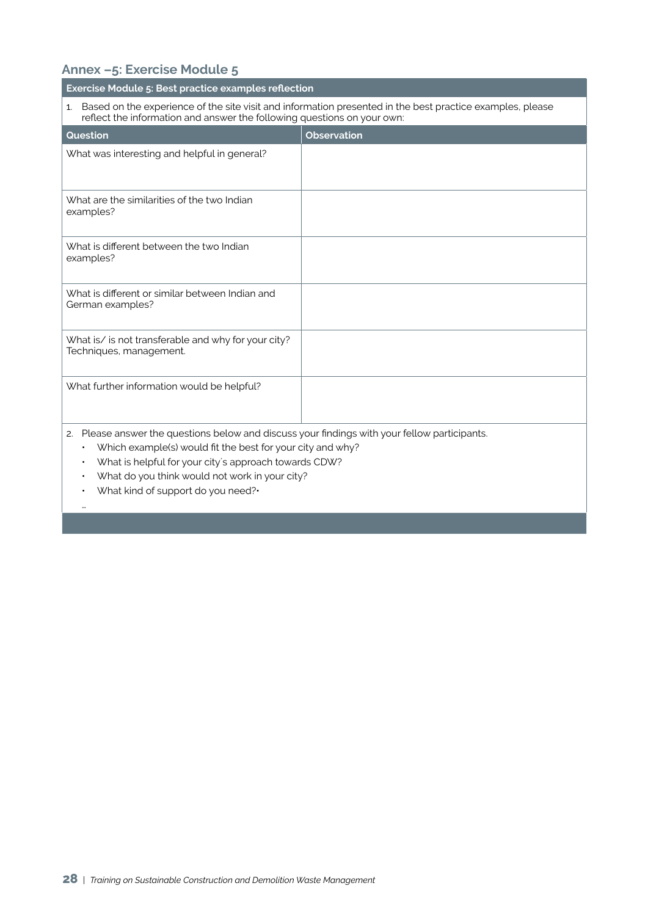## **Annex –5: Exercise Module 5**

| Exercise Module 5: Best practice examples reflection                                                                                                                                                                                                                                |                    |  |  |  |  |
|-------------------------------------------------------------------------------------------------------------------------------------------------------------------------------------------------------------------------------------------------------------------------------------|--------------------|--|--|--|--|
| Based on the experience of the site visit and information presented in the best practice examples, please<br>1.<br>reflect the information and answer the following questions on your own:                                                                                          |                    |  |  |  |  |
| Question                                                                                                                                                                                                                                                                            | <b>Observation</b> |  |  |  |  |
| What was interesting and helpful in general?                                                                                                                                                                                                                                        |                    |  |  |  |  |
| What are the similarities of the two Indian<br>examples?                                                                                                                                                                                                                            |                    |  |  |  |  |
| What is different between the two Indian<br>examples?                                                                                                                                                                                                                               |                    |  |  |  |  |
| What is different or similar between Indian and<br>German examples?                                                                                                                                                                                                                 |                    |  |  |  |  |
| What is/ is not transferable and why for your city?<br>Techniques, management.                                                                                                                                                                                                      |                    |  |  |  |  |
| What further information would be helpful?                                                                                                                                                                                                                                          |                    |  |  |  |  |
| 2. Please answer the questions below and discuss your findings with your fellow participants.<br>Which example(s) would fit the best for your city and why?<br>$\bullet$<br>What is helpful for your city's approach towards CDW?<br>What do you think would not work in your city? |                    |  |  |  |  |

• What kind of support do you need?•

…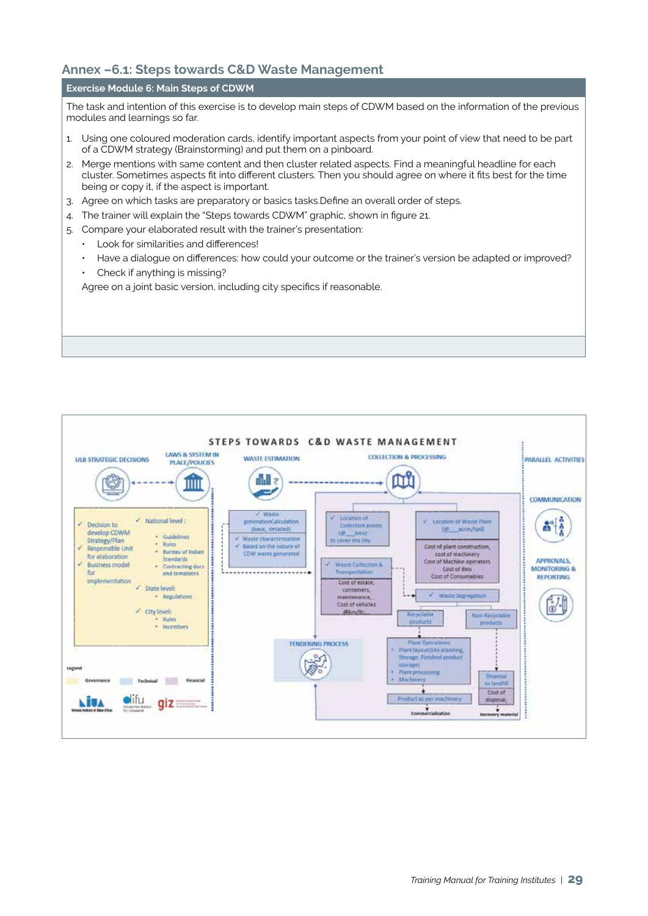## **Annex –6.1: Steps towards C&D Waste Management**

### **Exercise Module 6: Main Steps of CDWM**

The task and intention of this exercise is to develop main steps of CDWM based on the information of the previous modules and learnings so far.

- 1. Using one coloured moderation cards, identify important aspects from your point of view that need to be part of a CDWM strategy (Brainstorming) and put them on a pinboard.
- 2. Merge mentions with same content and then cluster related aspects. Find a meaningful headline for each cluster. Sometimes aspects fit into different clusters. Then you should agree on where it fits best for the time being or copy it, if the aspect is important.
- 3. Agree on which tasks are preparatory or basics tasks.Define an overall order of steps.
- 4. The trainer will explain the "Steps towards CDWM" graphic, shown in figure 21.
- 5. Compare your elaborated result with the trainer's presentation:
	- Look for similarities and differences!
	- Have a dialogue on differences: how could your outcome or the trainer's version be adapted or improved?
	- Check if anything is missing?

Agree on a joint basic version, including city specifics if reasonable.

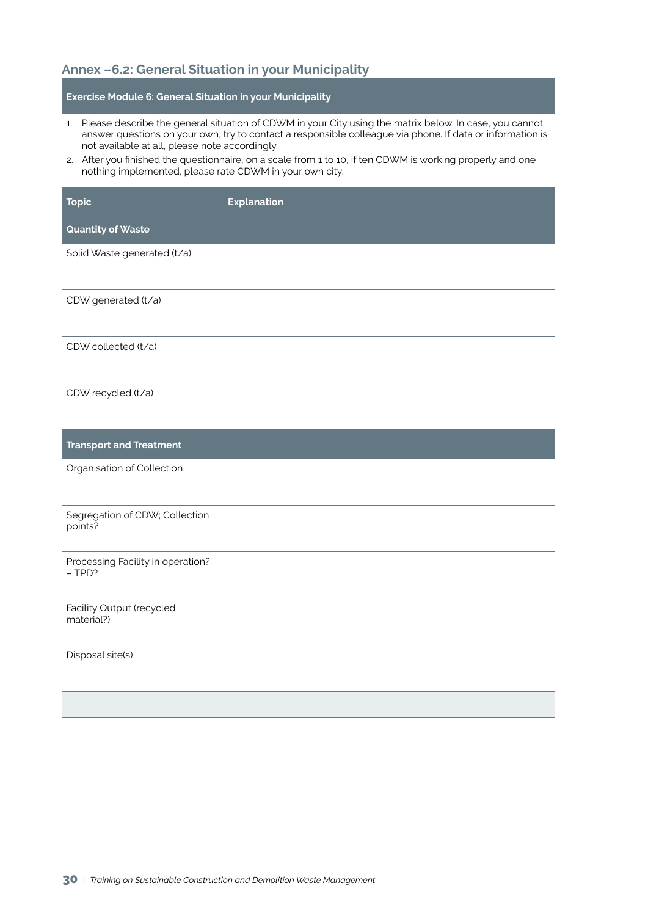## **Annex –6.2: General Situation in your Municipality**

**Exercise Module 6: General Situation in your Municipality** 

- 1. Please describe the general situation of CDWM in your City using the matrix below. In case, you cannot answer questions on your own, try to contact a responsible colleague via phone. If data or information is not available at all, please note accordingly.
- 2. After you finished the questionnaire, on a scale from 1 to 10, if ten CDWM is working properly and one nothing implemented, please rate CDWM in your own city.

| <b>Topic</b>                                  | <b>Explanation</b> |
|-----------------------------------------------|--------------------|
| <b>Quantity of Waste</b>                      |                    |
| Solid Waste generated (t/a)                   |                    |
| CDW generated (t/a)                           |                    |
| CDW collected (t/a)                           |                    |
| CDW recycled (t/a)                            |                    |
| <b>Transport and Treatment</b>                |                    |
| Organisation of Collection                    |                    |
| Segregation of CDW; Collection<br>points?     |                    |
| Processing Facility in operation?<br>$-$ TPD? |                    |
| Facility Output (recycled<br>material?)       |                    |
| Disposal site(s)                              |                    |
|                                               |                    |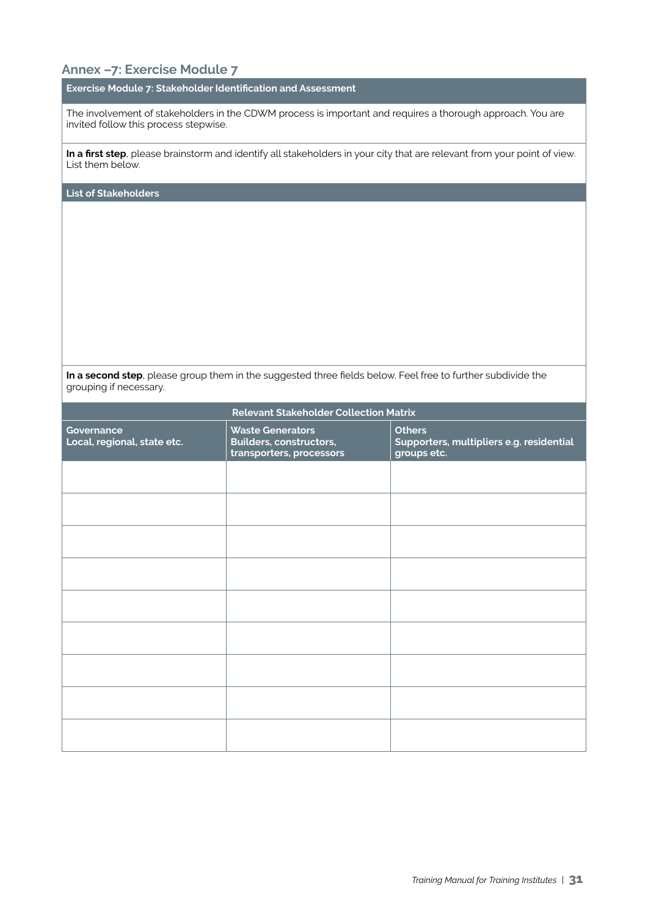## **Annex –7: Exercise Module 7**

### **Exercise Module 7: Stakeholder Identification and Assessment**

The involvement of stakeholders in the CDWM process is important and requires a thorough approach. You are invited follow this process stepwise.

**In a first step**, please brainstorm and identify all stakeholders in your city that are relevant from your point of view. List them below.

**List of Stakeholders**

**In a second step**, please group them in the suggested three fields below. Feel free to further subdivide the grouping if necessary.

| <b>Relevant Stakeholder Collection Matrix</b> |                                                                                |                                                                          |  |  |  |  |
|-----------------------------------------------|--------------------------------------------------------------------------------|--------------------------------------------------------------------------|--|--|--|--|
| Governance<br>Local, regional, state etc.     | <b>Waste Generators</b><br>Builders, constructors,<br>transporters, processors | <b>Others</b><br>Supporters, multipliers e.g. residential<br>groups etc. |  |  |  |  |
|                                               |                                                                                |                                                                          |  |  |  |  |
|                                               |                                                                                |                                                                          |  |  |  |  |
|                                               |                                                                                |                                                                          |  |  |  |  |
|                                               |                                                                                |                                                                          |  |  |  |  |
|                                               |                                                                                |                                                                          |  |  |  |  |
|                                               |                                                                                |                                                                          |  |  |  |  |
|                                               |                                                                                |                                                                          |  |  |  |  |
|                                               |                                                                                |                                                                          |  |  |  |  |
|                                               |                                                                                |                                                                          |  |  |  |  |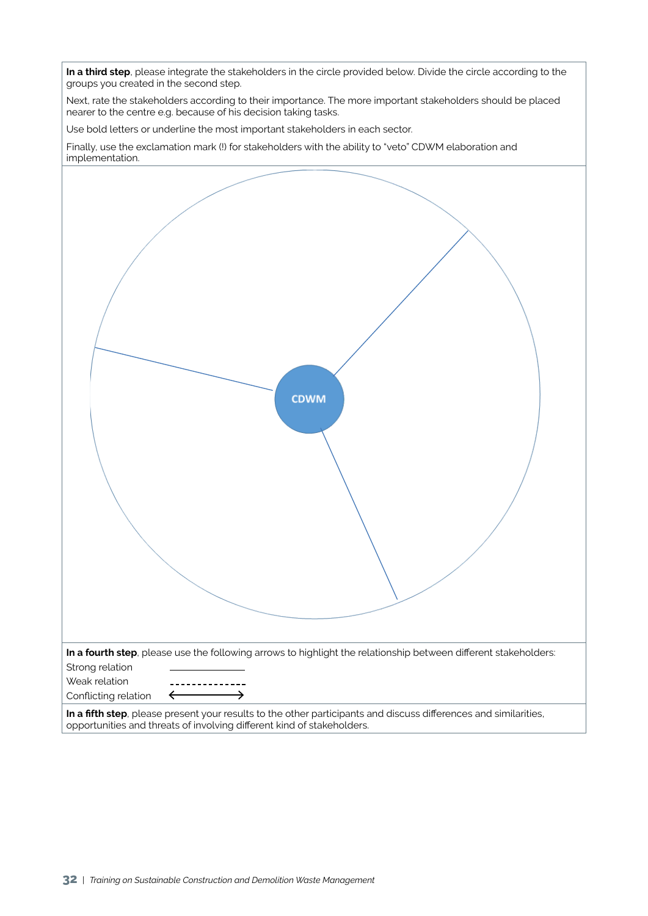**In a third step**, please integrate the stakeholders in the circle provided below. Divide the circle according to the groups you created in the second step.

Next, rate the stakeholders according to their importance. The more important stakeholders should be placed nearer to the centre e.g. because of his decision taking tasks.

Use bold letters or underline the most important stakeholders in each sector.

Finally, use the exclamation mark (!) for stakeholders with the ability to "veto" CDWM elaboration and implementation.

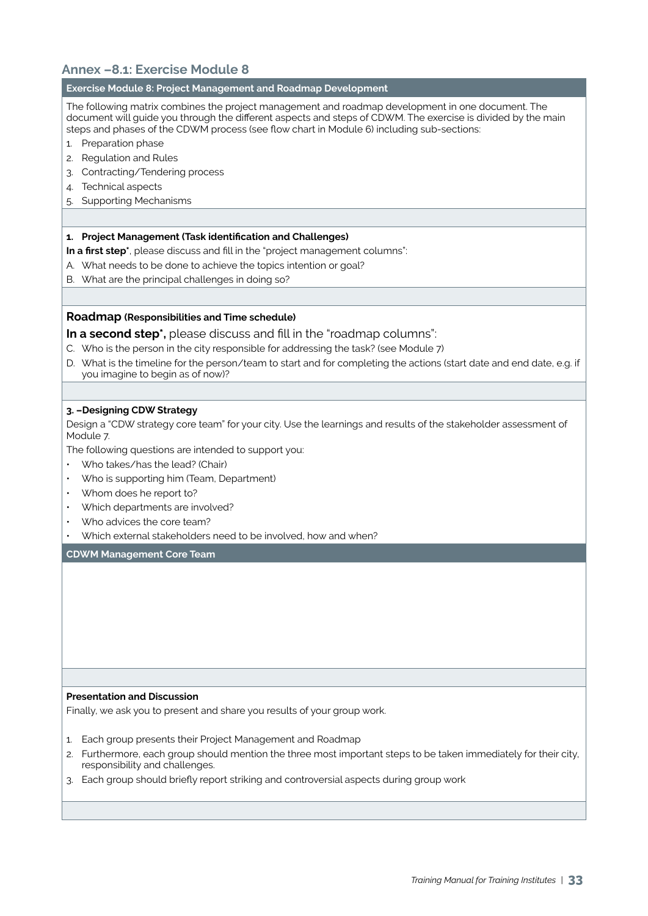## **Annex –8.1: Exercise Module 8**

### **Exercise Module 8: Project Management and Roadmap Development**

The following matrix combines the project management and roadmap development in one document. The document will guide you through the different aspects and steps of CDWM. The exercise is divided by the main steps and phases of the CDWM process (see flow chart in Module 6) including sub-sections:

- 1. Preparation phase
- 2. Regulation and Rules
- 3. Contracting/Tendering process
- 4. Technical aspects
- 5. Supporting Mechanisms

### **1. Project Management (Task identification and Challenges)**

**In a first step\***, please discuss and fill in the "project management columns":

- A. What needs to be done to achieve the topics intention or goal?
- B. What are the principal challenges in doing so?

### **Roadmap (Responsibilities and Time schedule)**

**In a second step\*,** please discuss and fill in the "roadmap columns":

- C. Who is the person in the city responsible for addressing the task? (see Module 7)
- D. What is the timeline for the person/team to start and for completing the actions (start date and end date, e.g. if you imagine to begin as of now)?

### **3. –Designing CDW Strategy**

Design a "CDW strategy core team" for your city. Use the learnings and results of the stakeholder assessment of Module 7.

The following questions are intended to support you:

- Who takes/has the lead? (Chair)
- Who is supporting him (Team, Department)
- Whom does he report to?
- Which departments are involved?
- Who advices the core team?
- Which external stakeholders need to be involved, how and when?

**CDWM Management Core Team**

### **Presentation and Discussion**

Finally, we ask you to present and share you results of your group work.

- 1. Each group presents their Project Management and Roadmap
- 2. Furthermore, each group should mention the three most important steps to be taken immediately for their city, responsibility and challenges.
- 3. Each group should briefly report striking and controversial aspects during group work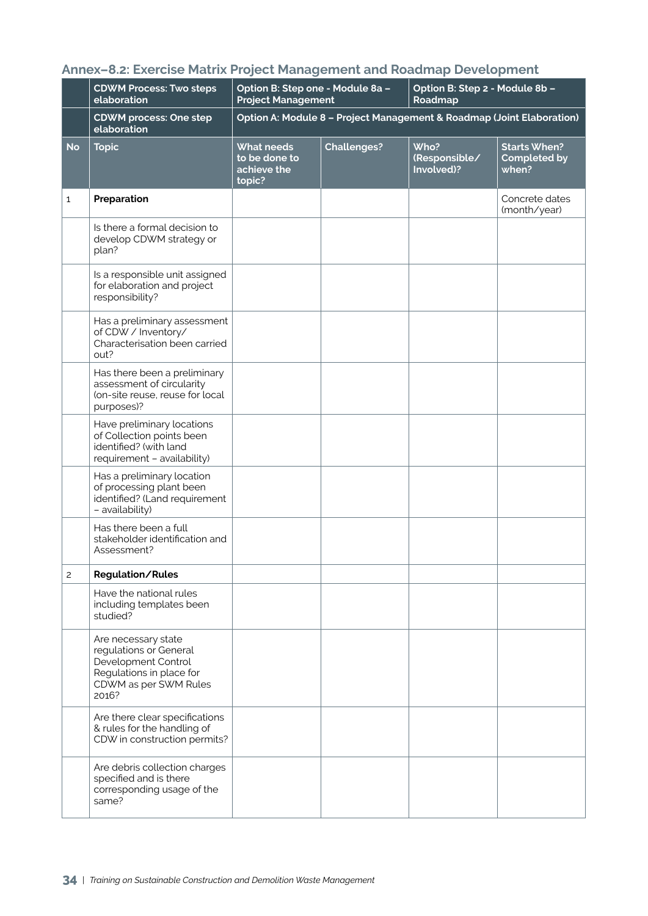|              | <b>CDWM Process: Two steps</b><br>elaboration                                                                                      | Option B: Step one - Module 8a -<br><b>Project Management</b>         |                    | Option B: Step 2 - Module 8b -<br>Roadmap |                                                     |  |  |
|--------------|------------------------------------------------------------------------------------------------------------------------------------|-----------------------------------------------------------------------|--------------------|-------------------------------------------|-----------------------------------------------------|--|--|
|              | <b>CDWM process: One step</b><br>elaboration                                                                                       | Option A: Module 8 - Project Management & Roadmap (Joint Elaboration) |                    |                                           |                                                     |  |  |
| <b>No</b>    | <b>Topic</b>                                                                                                                       | <b>What needs</b><br>to be done to<br>achieve the<br>topic?           | <b>Challenges?</b> | Who?<br>(Responsible/<br>Involved)?       | <b>Starts When?</b><br><b>Completed by</b><br>when? |  |  |
| $\mathbf{1}$ | Preparation                                                                                                                        |                                                                       |                    |                                           | Concrete dates<br>(month/year)                      |  |  |
|              | Is there a formal decision to<br>develop CDWM strategy or<br>plan?                                                                 |                                                                       |                    |                                           |                                                     |  |  |
|              | Is a responsible unit assigned<br>for elaboration and project<br>responsibility?                                                   |                                                                       |                    |                                           |                                                     |  |  |
|              | Has a preliminary assessment<br>of CDW / Inventory/<br>Characterisation been carried<br>out?                                       |                                                                       |                    |                                           |                                                     |  |  |
|              | Has there been a preliminary<br>assessment of circularity<br>(on-site reuse, reuse for local<br>purposes)?                         |                                                                       |                    |                                           |                                                     |  |  |
|              | Have preliminary locations<br>of Collection points been<br>identified? (with land<br>requirement - availability)                   |                                                                       |                    |                                           |                                                     |  |  |
|              | Has a preliminary location<br>of processing plant been<br>identified? (Land requirement<br>- availability)                         |                                                                       |                    |                                           |                                                     |  |  |
|              | Has there been a full<br>stakeholder identification and<br>Assessment?                                                             |                                                                       |                    |                                           |                                                     |  |  |
| 2            | <b>Regulation/Rules</b>                                                                                                            |                                                                       |                    |                                           |                                                     |  |  |
|              | Have the national rules<br>including templates been<br>studied?                                                                    |                                                                       |                    |                                           |                                                     |  |  |
|              | Are necessary state<br>regulations or General<br>Development Control<br>Regulations in place for<br>CDWM as per SWM Rules<br>2016? |                                                                       |                    |                                           |                                                     |  |  |
|              | Are there clear specifications<br>& rules for the handling of<br>CDW in construction permits?                                      |                                                                       |                    |                                           |                                                     |  |  |
|              | Are debris collection charges<br>specified and is there<br>corresponding usage of the<br>same?                                     |                                                                       |                    |                                           |                                                     |  |  |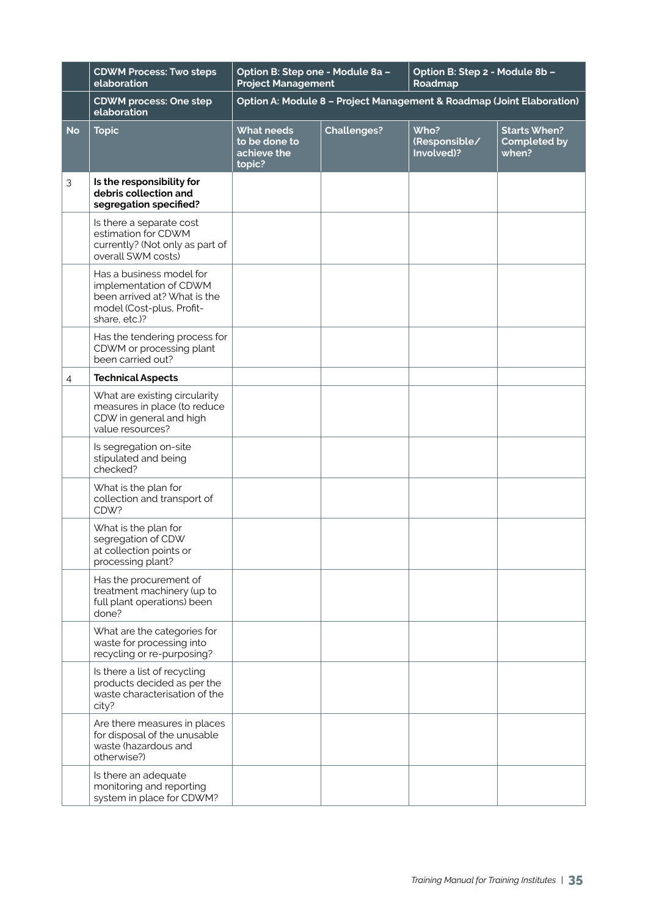|           | <b>CDWM Process: Two steps</b><br>elaboration                                                                                    | Option B: Step one - Module 8a -<br><b>Project Management</b>         |                    | Option B: Step 2 - Module 8b -<br>Roadmap |                                                     |  |  |  |
|-----------|----------------------------------------------------------------------------------------------------------------------------------|-----------------------------------------------------------------------|--------------------|-------------------------------------------|-----------------------------------------------------|--|--|--|
|           | <b>CDWM process: One step</b><br>elaboration                                                                                     | Option A: Module 8 - Project Management & Roadmap (Joint Elaboration) |                    |                                           |                                                     |  |  |  |
| <b>No</b> | <b>Topic</b>                                                                                                                     | <b>What needs</b><br>to be done to<br>achieve the<br>topic?           | <b>Challenges?</b> | Who?<br>(Responsible/<br>Involved)?       | <b>Starts When?</b><br><b>Completed by</b><br>when? |  |  |  |
| 3         | Is the responsibility for<br>debris collection and<br>segregation specified?                                                     |                                                                       |                    |                                           |                                                     |  |  |  |
|           | Is there a separate cost<br>estimation for CDWM<br>currently? (Not only as part of<br>overall SWM costs)                         |                                                                       |                    |                                           |                                                     |  |  |  |
|           | Has a business model for<br>implementation of CDWM<br>been arrived at? What is the<br>model (Cost-plus, Profit-<br>share, etc.)? |                                                                       |                    |                                           |                                                     |  |  |  |
|           | Has the tendering process for<br>CDWM or processing plant<br>been carried out?                                                   |                                                                       |                    |                                           |                                                     |  |  |  |
| 4         | <b>Technical Aspects</b>                                                                                                         |                                                                       |                    |                                           |                                                     |  |  |  |
|           | What are existing circularity<br>measures in place (to reduce<br>CDW in general and high<br>value resources?                     |                                                                       |                    |                                           |                                                     |  |  |  |
|           | Is segregation on-site<br>stipulated and being<br>checked?                                                                       |                                                                       |                    |                                           |                                                     |  |  |  |
|           | What is the plan for<br>collection and transport of<br>CDW?                                                                      |                                                                       |                    |                                           |                                                     |  |  |  |
|           | What is the plan for<br>segregation of CDW<br>at collection points or<br>processing plant?                                       |                                                                       |                    |                                           |                                                     |  |  |  |
|           | Has the procurement of<br>treatment machinery (up to<br>full plant operations) been<br>done?                                     |                                                                       |                    |                                           |                                                     |  |  |  |
|           | What are the categories for<br>waste for processing into<br>recycling or re-purposing?                                           |                                                                       |                    |                                           |                                                     |  |  |  |
|           | Is there a list of recycling<br>products decided as per the<br>waste characterisation of the<br>city?                            |                                                                       |                    |                                           |                                                     |  |  |  |
|           | Are there measures in places<br>for disposal of the unusable<br>waste (hazardous and<br>otherwise?)                              |                                                                       |                    |                                           |                                                     |  |  |  |
|           | Is there an adequate<br>monitoring and reporting<br>system in place for CDWM?                                                    |                                                                       |                    |                                           |                                                     |  |  |  |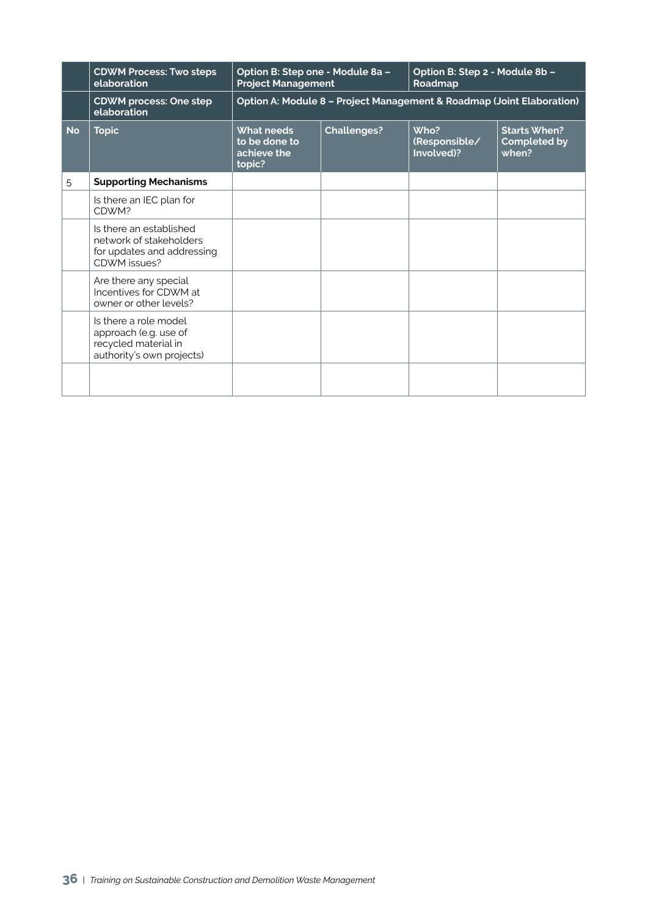|           | <b>CDWM Process: Two steps</b><br>elaboration                                                       | Option B: Step one - Module 8a -<br><b>Project Management</b>                     |  | Option B: Step 2 - Module 8b -<br>Roadmap                             |                                                     |  |
|-----------|-----------------------------------------------------------------------------------------------------|-----------------------------------------------------------------------------------|--|-----------------------------------------------------------------------|-----------------------------------------------------|--|
|           | <b>CDWM process: One step</b><br>elaboration                                                        |                                                                                   |  | Option A: Module 8 - Project Management & Roadmap (Joint Elaboration) |                                                     |  |
| <b>No</b> | <b>Topic</b>                                                                                        | <b>Challenges?</b><br><b>What needs</b><br>to be done to<br>achieve the<br>topic? |  | Who?<br>(Responsible/<br>Involved)?                                   | <b>Starts When?</b><br><b>Completed by</b><br>when? |  |
| 5         | <b>Supporting Mechanisms</b>                                                                        |                                                                                   |  |                                                                       |                                                     |  |
|           | Is there an IEC plan for<br>CDWM?                                                                   |                                                                                   |  |                                                                       |                                                     |  |
|           | Is there an established<br>network of stakeholders<br>for updates and addressing<br>CDWM issues?    |                                                                                   |  |                                                                       |                                                     |  |
|           | Are there any special<br>Incentives for CDWM at<br>owner or other levels?                           |                                                                                   |  |                                                                       |                                                     |  |
|           | Is there a role model<br>approach (e.g. use of<br>recycled material in<br>authority's own projects) |                                                                                   |  |                                                                       |                                                     |  |
|           |                                                                                                     |                                                                                   |  |                                                                       |                                                     |  |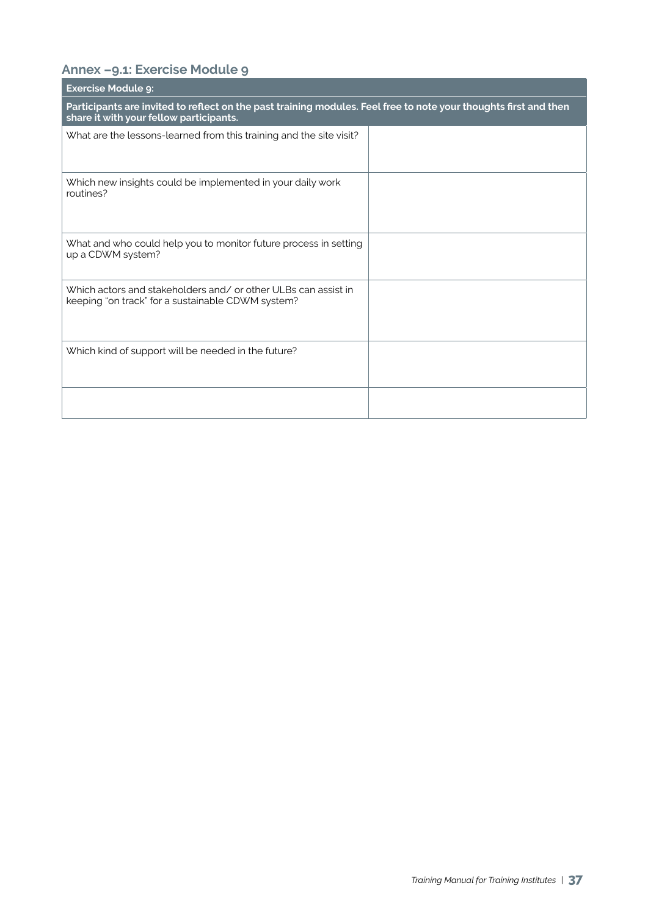## **Annex –9.1: Exercise Module 9**

| <b>Exercise Module 9:</b>                                                                                                                                   |  |
|-------------------------------------------------------------------------------------------------------------------------------------------------------------|--|
| Participants are invited to reflect on the past training modules. Feel free to note your thoughts first and then<br>share it with your fellow participants. |  |
| What are the lessons-learned from this training and the site visit?                                                                                         |  |
| Which new insights could be implemented in your daily work<br>routines?                                                                                     |  |
| What and who could help you to monitor future process in setting<br>up a CDWM system?                                                                       |  |
| Which actors and stakeholders and/ or other ULBs can assist in<br>keeping "on track" for a sustainable CDWM system?                                         |  |
| Which kind of support will be needed in the future?                                                                                                         |  |
|                                                                                                                                                             |  |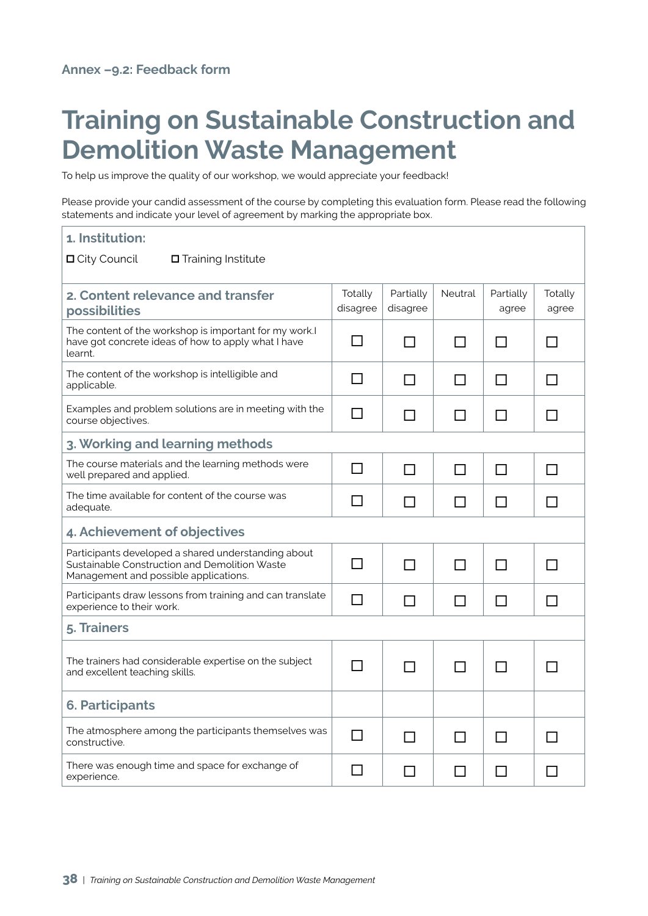## **Training on Sustainable Construction and Demolition Waste Management**

To help us improve the quality of our workshop, we would appreciate your feedback!

Please provide your candid assessment of the course by completing this evaluation form. Please read the following statements and indicate your level of agreement by marking the appropriate box.

| 1. Institution:                                                                                                                               |                     |                       |                |                    |                  |
|-----------------------------------------------------------------------------------------------------------------------------------------------|---------------------|-----------------------|----------------|--------------------|------------------|
| □ City Council<br>$\Box$ Training Institute                                                                                                   |                     |                       |                |                    |                  |
| 2. Content relevance and transfer<br>possibilities                                                                                            | Totally<br>disagree | Partially<br>disagree | <b>Neutral</b> | Partially<br>agree | Totally<br>agree |
| The content of the workshop is important for my work.I<br>have got concrete ideas of how to apply what I have<br>learnt.                      | $\mathsf{L}$        | ΙI                    | П              | ΙI                 | $\mathsf{L}$     |
| The content of the workshop is intelligible and<br>applicable.                                                                                | ΙI                  | $\Box$                | $\Box$         | $\Box$             | $\Box$           |
| Examples and problem solutions are in meeting with the<br>course objectives.                                                                  | П                   |                       | ΙI             | ΙI                 | $\mathsf{L}$     |
| 3. Working and learning methods                                                                                                               |                     |                       |                |                    |                  |
| The course materials and the learning methods were<br>well prepared and applied.                                                              | $\Box$              | ΙI                    | ΙI             | ΙI                 | П                |
| The time available for content of the course was<br>adequate.                                                                                 | ΙI                  | $\Box$                | $\Box$         | $\Box$             | П                |
| 4. Achievement of objectives                                                                                                                  |                     |                       |                |                    |                  |
| Participants developed a shared understanding about<br>Sustainable Construction and Demolition Waste<br>Management and possible applications. | П                   | $\Box$                | $\Box$         | $\Box$             | $\Box$           |
| Participants draw lessons from training and can translate<br>experience to their work.                                                        | П                   | $\Box$                | $\Box$         | $\Box$             | $\Box$           |
| 5. Trainers                                                                                                                                   |                     |                       |                |                    |                  |
| The trainers had considerable expertise on the subject<br>and excellent teaching skills.                                                      | $\blacksquare$      | $\Box$                | П              | $\Box$             | $\mathbf{L}$     |
| <b>6. Participants</b>                                                                                                                        |                     |                       |                |                    |                  |
| The atmosphere among the participants themselves was<br>constructive.                                                                         | П                   | П                     | $\Box$         | $\Box$             | П                |
| There was enough time and space for exchange of<br>experience.                                                                                |                     |                       | ΙI             | ΙI                 | ΙI               |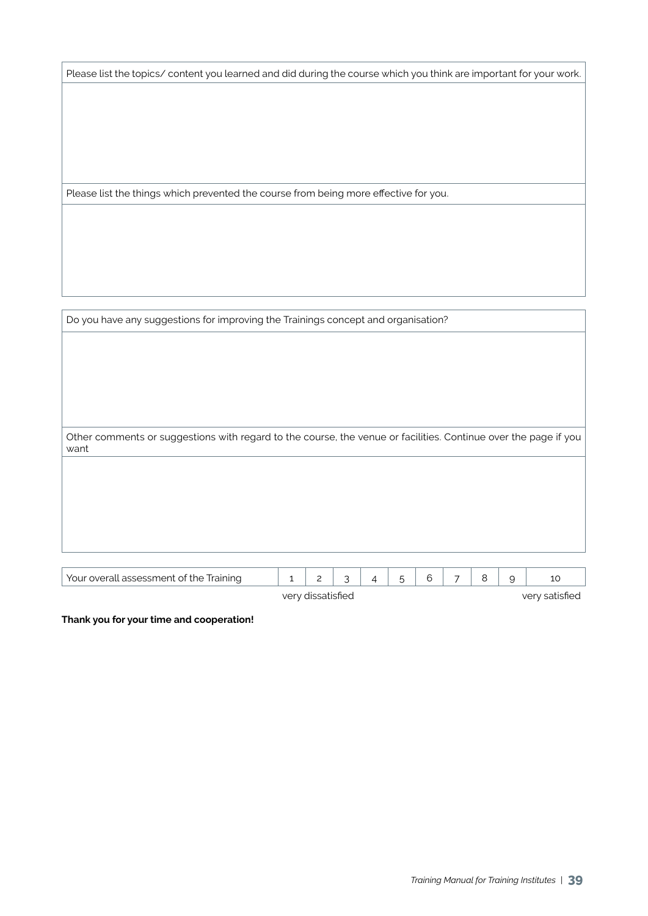Please list the topics/ content you learned and did during the course which you think are important for your work.

Please list the things which prevented the course from being more effective for you.

| Do you have any suggestions for improving the Trainings concept and organisation?                               |              |                |   |                |   |   |   |   |   |    |
|-----------------------------------------------------------------------------------------------------------------|--------------|----------------|---|----------------|---|---|---|---|---|----|
|                                                                                                                 |              |                |   |                |   |   |   |   |   |    |
|                                                                                                                 |              |                |   |                |   |   |   |   |   |    |
|                                                                                                                 |              |                |   |                |   |   |   |   |   |    |
|                                                                                                                 |              |                |   |                |   |   |   |   |   |    |
| Other comments or suggestions with regard to the course, the venue or facilities. Continue over the page if you |              |                |   |                |   |   |   |   |   |    |
| want                                                                                                            |              |                |   |                |   |   |   |   |   |    |
|                                                                                                                 |              |                |   |                |   |   |   |   |   |    |
|                                                                                                                 |              |                |   |                |   |   |   |   |   |    |
|                                                                                                                 |              |                |   |                |   |   |   |   |   |    |
|                                                                                                                 |              |                |   |                |   |   |   |   |   |    |
|                                                                                                                 |              |                |   |                |   |   |   |   |   |    |
| Your overall assessment of the Training                                                                         | $\mathbf{1}$ | $\overline{c}$ | 3 | $\overline{4}$ | 5 | 6 | 7 | 8 | 9 | 10 |

very dissatisfied very satisfied

**Thank you for your time and cooperation!**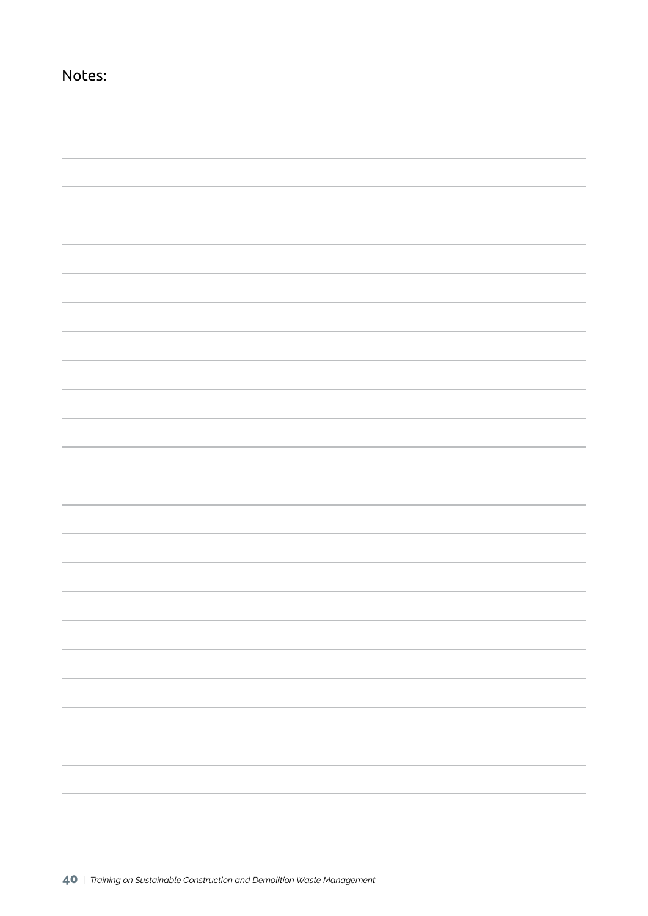| Notes:                                                                           |                          |
|----------------------------------------------------------------------------------|--------------------------|
|                                                                                  |                          |
|                                                                                  |                          |
|                                                                                  |                          |
|                                                                                  |                          |
|                                                                                  |                          |
|                                                                                  |                          |
|                                                                                  |                          |
|                                                                                  |                          |
|                                                                                  |                          |
|                                                                                  |                          |
|                                                                                  |                          |
|                                                                                  |                          |
|                                                                                  |                          |
|                                                                                  |                          |
|                                                                                  |                          |
|                                                                                  |                          |
|                                                                                  |                          |
|                                                                                  |                          |
|                                                                                  |                          |
|                                                                                  |                          |
|                                                                                  |                          |
|                                                                                  |                          |
|                                                                                  |                          |
|                                                                                  |                          |
|                                                                                  |                          |
|                                                                                  |                          |
|                                                                                  |                          |
|                                                                                  |                          |
|                                                                                  |                          |
|                                                                                  |                          |
|                                                                                  |                          |
|                                                                                  |                          |
|                                                                                  |                          |
|                                                                                  |                          |
|                                                                                  |                          |
|                                                                                  |                          |
|                                                                                  | $\overline{\phantom{a}}$ |
|                                                                                  |                          |
|                                                                                  |                          |
|                                                                                  |                          |
|                                                                                  |                          |
|                                                                                  |                          |
|                                                                                  |                          |
|                                                                                  |                          |
| ,我们也不会有什么?""我们的人,我们也不会有什么?""我们的人,我们也不会有什么?""我们的人,我们也不会有什么?""我们的人,我们也不会有什么?""我们的人 |                          |
|                                                                                  |                          |
|                                                                                  |                          |
|                                                                                  |                          |
|                                                                                  |                          |
|                                                                                  |                          |
|                                                                                  |                          |